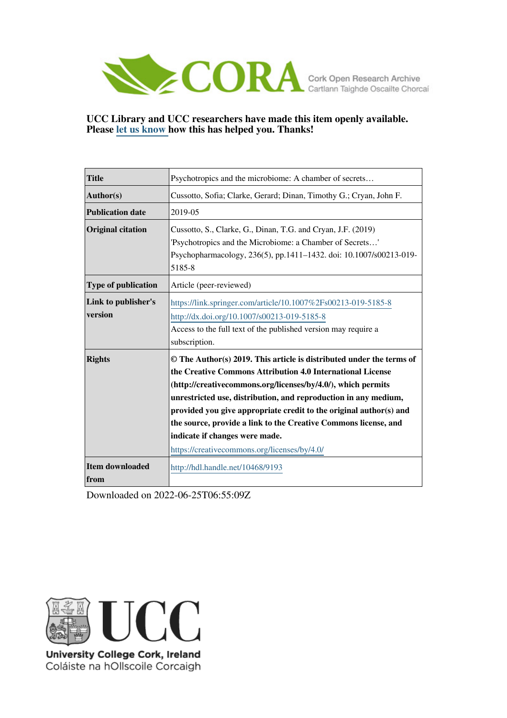

# **UCC Library and UCC researchers have made this item openly available. Please [let us know h](https://libguides.ucc.ie/openaccess/impact?suffix=9193&title=Psychotropics and the microbiome: A chamber of secrets�)ow this has helped you. Thanks!**

| <b>Title</b>                   | Psychotropics and the microbiome: A chamber of secrets                                                                                                                                                                                                                                                                                                                                                                                                                                           |
|--------------------------------|--------------------------------------------------------------------------------------------------------------------------------------------------------------------------------------------------------------------------------------------------------------------------------------------------------------------------------------------------------------------------------------------------------------------------------------------------------------------------------------------------|
| Author(s)                      | Cussotto, Sofia; Clarke, Gerard; Dinan, Timothy G.; Cryan, John F.                                                                                                                                                                                                                                                                                                                                                                                                                               |
| <b>Publication date</b>        | 2019-05                                                                                                                                                                                                                                                                                                                                                                                                                                                                                          |
| <b>Original citation</b>       | Cussotto, S., Clarke, G., Dinan, T.G. and Cryan, J.F. (2019)<br>'Psychotropics and the Microbiome: a Chamber of Secrets'<br>Psychopharmacology, 236(5), pp.1411-1432. doi: 10.1007/s00213-019-<br>5185-8                                                                                                                                                                                                                                                                                         |
| <b>Type of publication</b>     | Article (peer-reviewed)                                                                                                                                                                                                                                                                                                                                                                                                                                                                          |
| Link to publisher's<br>version | https://link.springer.com/article/10.1007%2Fs00213-019-5185-8<br>http://dx.doi.org/10.1007/s00213-019-5185-8<br>Access to the full text of the published version may require a<br>subscription.                                                                                                                                                                                                                                                                                                  |
| <b>Rights</b>                  | © The Author(s) 2019. This article is distributed under the terms of<br>the Creative Commons Attribution 4.0 International License<br>(http://creativecommons.org/licenses/by/4.0/), which permits<br>unrestricted use, distribution, and reproduction in any medium,<br>provided you give appropriate credit to the original author(s) and<br>the source, provide a link to the Creative Commons license, and<br>indicate if changes were made.<br>https://creativecommons.org/licenses/by/4.0/ |
| <b>Item downloaded</b><br>from | http://hdl.handle.net/10468/9193                                                                                                                                                                                                                                                                                                                                                                                                                                                                 |

Downloaded on 2022-06-25T06:55:09Z



University College Cork, Ireland Coláiste na hOllscoile Corcaigh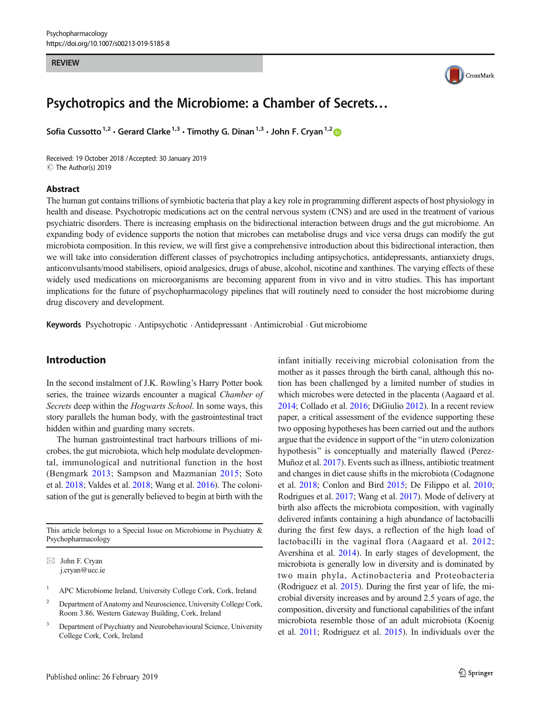#### REVIEW



# Psychotropics and the Microbiome: a Chamber of Secrets…

Sofia Cussotto<sup>1,2</sup>  $\cdot$  Gerard Clarke<sup>1,3</sup>  $\cdot$  Timothy G. Dinan<sup>1,3</sup>  $\cdot$  John F. Cryan<sup>1,2</sup> D

Received: 19 October 2018 /Accepted: 30 January 2019 C The Author(s) 2019

#### Abstract

The human gut contains trillions of symbiotic bacteria that play a key role in programming different aspects of host physiology in health and disease. Psychotropic medications act on the central nervous system (CNS) and are used in the treatment of various psychiatric disorders. There is increasing emphasis on the bidirectional interaction between drugs and the gut microbiome. An expanding body of evidence supports the notion that microbes can metabolise drugs and vice versa drugs can modify the gut microbiota composition. In this review, we will first give a comprehensive introduction about this bidirectional interaction, then we will take into consideration different classes of psychotropics including antipsychotics, antidepressants, antianxiety drugs, anticonvulsants/mood stabilisers, opioid analgesics, drugs of abuse, alcohol, nicotine and xanthines. The varying effects of these widely used medications on microorganisms are becoming apparent from in vivo and in vitro studies. This has important implications for the future of psychopharmacology pipelines that will routinely need to consider the host microbiome during drug discovery and development.

Keywords Psychotropic . Antipsychotic . Antidepressant . Antimicrobial . Gut microbiome

# Introduction

In the second instalment of J.K. Rowling's Harry Potter book series, the trainee wizards encounter a magical Chamber of Secrets deep within the Hogwarts School. In some ways, this story parallels the human body, with the gastrointestinal tract hidden within and guarding many secrets.

The human gastrointestinal tract harbours trillions of microbes, the gut microbiota, which help modulate developmental, immunological and nutritional function in the host (Bengmark [2013](#page-18-0); Sampson and Mazmanian [2015](#page-21-0); Soto et al. [2018;](#page-21-0) Valdes et al. [2018;](#page-21-0) Wang et al. [2016](#page-22-0)). The colonisation of the gut is generally believed to begin at birth with the

This article belongs to a Special Issue on Microbiome in Psychiatry & Psychopharmacology

 $\boxtimes$  John F. Cryan [j.cryan@ucc.ie](mailto:j.cryan@ucc.ie)

- <sup>1</sup> APC Microbiome Ireland, University College Cork, Cork, Ireland
- <sup>2</sup> Department of Anatomy and Neuroscience, University College Cork, Room 3.86, Western Gateway Building, Cork, Ireland
- <sup>3</sup> Department of Psychiatry and Neurobehavioural Science, University College Cork, Cork, Ireland

tion has been challenged by a limited number of studies in which microbes were detected in the placenta (Aagaard et al. [2014;](#page-17-0) Collado et al. [2016;](#page-18-0) DiGiulio [2012\)](#page-18-0). In a recent review paper, a critical assessment of the evidence supporting these two opposing hypotheses has been carried out and the authors argue that the evidence in support of the "in utero colonization" hypothesis" is conceptually and materially flawed (Perez-Muñoz et al. [2017](#page-21-0)). Events such as illness, antibiotic treatment and changes in diet cause shifts in the microbiota (Codagnone et al. [2018](#page-18-0); Conlon and Bird [2015;](#page-18-0) De Filippo et al. [2010;](#page-18-0) Rodrigues et al. [2017](#page-21-0); Wang et al. [2017\)](#page-22-0). Mode of delivery at birth also affects the microbiota composition, with vaginally delivered infants containing a high abundance of lactobacilli during the first few days, a reflection of the high load of lactobacilli in the vaginal flora (Aagaard et al. [2012;](#page-17-0) Avershina et al. [2014\)](#page-18-0). In early stages of development, the microbiota is generally low in diversity and is dominated by two main phyla, Actinobacteria and Proteobacteria (Rodriguez et al. [2015\)](#page-21-0). During the first year of life, the microbial diversity increases and by around 2.5 years of age, the composition, diversity and functional capabilities of the infant microbiota resemble those of an adult microbiota (Koenig et al. [2011](#page-19-0); Rodriguez et al. [2015](#page-21-0)). In individuals over the

infant initially receiving microbial colonisation from the mother as it passes through the birth canal, although this no-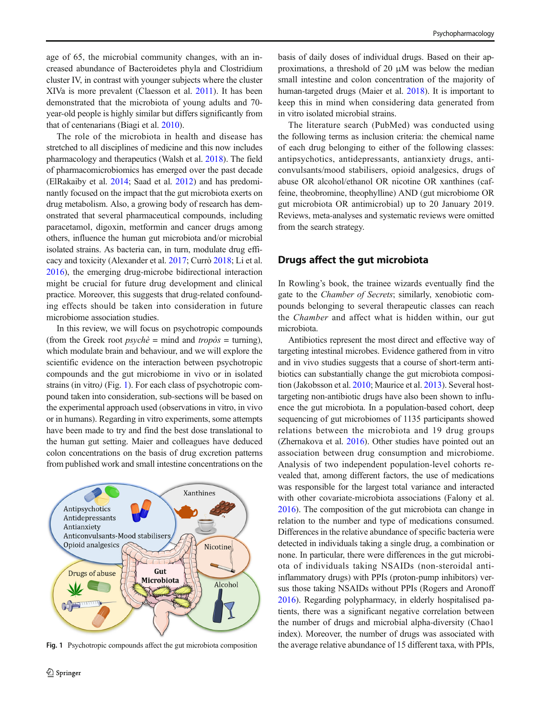age of 65, the microbial community changes, with an increased abundance of Bacteroidetes phyla and Clostridium cluster IV, in contrast with younger subjects where the cluster XIVa is more prevalent (Claesson et al. [2011\)](#page-18-0). It has been demonstrated that the microbiota of young adults and 70 year-old people is highly similar but differs significantly from that of centenarians (Biagi et al. [2010](#page-18-0)).

The role of the microbiota in health and disease has stretched to all disciplines of medicine and this now includes pharmacology and therapeutics (Walsh et al. [2018\)](#page-22-0). The field of pharmacomicrobiomics has emerged over the past decade (ElRakaiby et al. [2014](#page-18-0); Saad et al. [2012\)](#page-21-0) and has predominantly focused on the impact that the gut microbiota exerts on drug metabolism. Also, a growing body of research has demonstrated that several pharmaceutical compounds, including paracetamol, digoxin, metformin and cancer drugs among others, influence the human gut microbiota and/or microbial isolated strains. As bacteria can, in turn, modulate drug efficacy and toxicity (Alexander et al. [2017](#page-17-0); Currò [2018;](#page-18-0) Li et al. [2016\)](#page-20-0), the emerging drug-microbe bidirectional interaction might be crucial for future drug development and clinical practice. Moreover, this suggests that drug-related confounding effects should be taken into consideration in future microbiome association studies.

In this review, we will focus on psychotropic compounds (from the Greek root  $psych\hat{e}$  = mind and tropòs = turning), which modulate brain and behaviour, and we will explore the scientific evidence on the interaction between psychotropic compounds and the gut microbiome in vivo or in isolated strains (in vitro) (Fig. 1). For each class of psychotropic compound taken into consideration, sub-sections will be based on the experimental approach used (observations in vitro, in vivo or in humans). Regarding in vitro experiments, some attempts have been made to try and find the best dose translational to the human gut setting. Maier and colleagues have deduced colon concentrations on the basis of drug excretion patterns from published work and small intestine concentrations on the



basis of daily doses of individual drugs. Based on their approximations, a threshold of 20 μM was below the median small intestine and colon concentration of the majority of human-targeted drugs (Maier et al. [2018\)](#page-20-0). It is important to keep this in mind when considering data generated from in vitro isolated microbial strains.

The literature search (PubMed) was conducted using the following terms as inclusion criteria: the chemical name of each drug belonging to either of the following classes: antipsychotics, antidepressants, antianxiety drugs, anticonvulsants/mood stabilisers, opioid analgesics, drugs of abuse OR alcohol/ethanol OR nicotine OR xanthines (caffeine, theobromine, theophylline) AND (gut microbiome OR gut microbiota OR antimicrobial) up to 20 January 2019. Reviews, meta-analyses and systematic reviews were omitted from the search strategy.

### Drugs affect the gut microbiota

In Rowling's book, the trainee wizards eventually find the gate to the Chamber of Secrets; similarly, xenobiotic compounds belonging to several therapeutic classes can reach the Chamber and affect what is hidden within, our gut microbiota.

Antibiotics represent the most direct and effective way of targeting intestinal microbes. Evidence gathered from in vitro and in vivo studies suggests that a course of short-term antibiotics can substantially change the gut microbiota composition (Jakobsson et al. [2010;](#page-19-0) Maurice et al. [2013\)](#page-20-0). Several hosttargeting non-antibiotic drugs have also been shown to influence the gut microbiota. In a population-based cohort, deep sequencing of gut microbiomes of 1135 participants showed relations between the microbiota and 19 drug groups (Zhernakova et al. [2016](#page-22-0)). Other studies have pointed out an association between drug consumption and microbiome. Analysis of two independent population-level cohorts revealed that, among different factors, the use of medications was responsible for the largest total variance and interacted with other covariate-microbiota associations (Falony et al. [2016\)](#page-18-0). The composition of the gut microbiota can change in relation to the number and type of medications consumed. Differences in the relative abundance of specific bacteria were detected in individuals taking a single drug, a combination or none. In particular, there were differences in the gut microbiota of individuals taking NSAIDs (non-steroidal antiinflammatory drugs) with PPIs (proton-pump inhibitors) versus those taking NSAIDs without PPIs (Rogers and Aronoff [2016\)](#page-21-0). Regarding polypharmacy, in elderly hospitalised patients, there was a significant negative correlation between the number of drugs and microbial alpha-diversity (Chao1 index). Moreover, the number of drugs was associated with Fig. 1 Psychotropic compounds affect the gut microbiota composition the average relative abundance of 15 different taxa, with PPIs,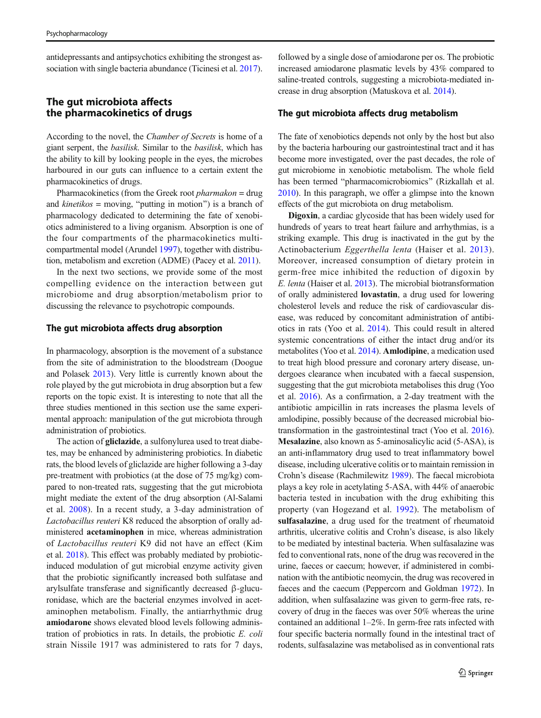antidepressants and antipsychotics exhibiting the strongest association with single bacteria abundance (Ticinesi et al. [2017\)](#page-21-0).

# The gut microbiota affects the pharmacokinetics of drugs

According to the novel, the Chamber of Secrets is home of a giant serpent, the basilisk. Similar to the basilisk, which has the ability to kill by looking people in the eyes, the microbes harboured in our guts can influence to a certain extent the pharmacokinetics of drugs.

Pharmacokinetics (from the Greek root *pharmakon* = drug and *kinetikos* = moving, "putting in motion") is a branch of pharmacology dedicated to determining the fate of xenobiotics administered to a living organism. Absorption is one of the four compartments of the pharmacokinetics multicompartmental model (Arundel [1997\)](#page-17-0), together with distribution, metabolism and excretion (ADME) (Pacey et al. [2011\)](#page-20-0).

In the next two sections, we provide some of the most compelling evidence on the interaction between gut microbiome and drug absorption/metabolism prior to discussing the relevance to psychotropic compounds.

### The gut microbiota affects drug absorption

In pharmacology, absorption is the movement of a substance from the site of administration to the bloodstream (Doogue and Polasek [2013\)](#page-18-0). Very little is currently known about the role played by the gut microbiota in drug absorption but a few reports on the topic exist. It is interesting to note that all the three studies mentioned in this section use the same experimental approach: manipulation of the gut microbiota through administration of probiotics.

The action of **gliclazide**, a sulfonylurea used to treat diabetes, may be enhanced by administering probiotics. In diabetic rats, the blood levels of gliclazide are higher following a 3-day pre-treatment with probiotics (at the dose of 75 mg/kg) compared to non-treated rats, suggesting that the gut microbiota might mediate the extent of the drug absorption (Al-Salami et al. [2008](#page-17-0)). In a recent study, a 3-day administration of Lactobacillus reuteri K8 reduced the absorption of orally administered acetaminophen in mice, whereas administration of Lactobacillus reuteri K9 did not have an effect (Kim et al. [2018](#page-19-0)). This effect was probably mediated by probioticinduced modulation of gut microbial enzyme activity given that the probiotic significantly increased both sulfatase and arylsulfate transferase and significantly decreased β-glucuronidase, which are the bacterial enzymes involved in acetaminophen metabolism. Finally, the antiarrhythmic drug amiodarone shows elevated blood levels following administration of probiotics in rats. In details, the probiotic E. coli strain Nissile 1917 was administered to rats for 7 days,

followed by a single dose of amiodarone per os. The probiotic increased amiodarone plasmatic levels by 43% compared to saline-treated controls, suggesting a microbiota-mediated increase in drug absorption (Matuskova et al. [2014](#page-20-0)).

#### The gut microbiota affects drug metabolism

The fate of xenobiotics depends not only by the host but also by the bacteria harbouring our gastrointestinal tract and it has become more investigated, over the past decades, the role of gut microbiome in xenobiotic metabolism. The whole field has been termed "pharmacomicrobiomics" (Rizkallah et al. [2010\)](#page-21-0). In this paragraph, we offer a glimpse into the known effects of the gut microbiota on drug metabolism.

Digoxin, a cardiac glycoside that has been widely used for hundreds of years to treat heart failure and arrhythmias, is a striking example. This drug is inactivated in the gut by the Actinobacterium Eggerthella lenta (Haiser et al. [2013](#page-19-0)). Moreover, increased consumption of dietary protein in germ-free mice inhibited the reduction of digoxin by E. lenta (Haiser et al. [2013](#page-19-0)). The microbial biotransformation of orally administered lovastatin, a drug used for lowering cholesterol levels and reduce the risk of cardiovascular disease, was reduced by concomitant administration of antibiotics in rats (Yoo et al. [2014\)](#page-22-0). This could result in altered systemic concentrations of either the intact drug and/or its metabolites (Yoo et al. [2014](#page-22-0)). Amlodipine, a medication used to treat high blood pressure and coronary artery disease, undergoes clearance when incubated with a faecal suspension, suggesting that the gut microbiota metabolises this drug (Yoo et al. [2016](#page-22-0)). As a confirmation, a 2-day treatment with the antibiotic ampicillin in rats increases the plasma levels of amlodipine, possibly because of the decreased microbial biotransformation in the gastrointestinal tract (Yoo et al. [2016\)](#page-22-0). Mesalazine, also known as 5-aminosalicylic acid (5-ASA), is an anti-inflammatory drug used to treat inflammatory bowel disease, including ulcerative colitis or to maintain remission in Crohn's disease (Rachmilewitz [1989\)](#page-21-0). The faecal microbiota plays a key role in acetylating 5-ASA, with 44% of anaerobic bacteria tested in incubation with the drug exhibiting this property (van Hogezand et al. [1992\)](#page-21-0). The metabolism of sulfasalazine, a drug used for the treatment of rheumatoid arthritis, ulcerative colitis and Crohn's disease, is also likely to be mediated by intestinal bacteria. When sulfasalazine was fed to conventional rats, none of the drug was recovered in the urine, faeces or caecum; however, if administered in combination with the antibiotic neomycin, the drug was recovered in faeces and the caecum (Peppercorn and Goldman [1972](#page-21-0)). In addition, when sulfasalazine was given to germ-free rats, recovery of drug in the faeces was over 50% whereas the urine contained an additional 1–2%. In germ-free rats infected with four specific bacteria normally found in the intestinal tract of rodents, sulfasalazine was metabolised as in conventional rats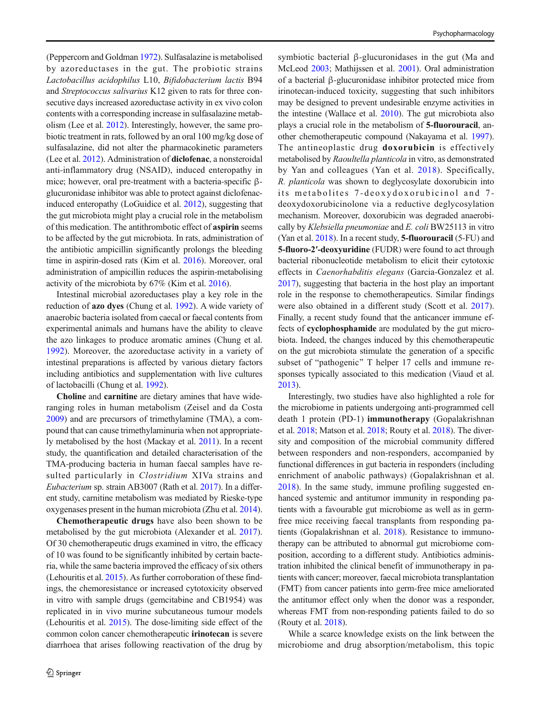(Peppercorn and Goldman [1972\)](#page-21-0). Sulfasalazine is metabolised by azoreductases in the gut. The probiotic strains Lactobacillus acidophilus L10, Bifidobacterium lactis B94 and Streptococcus salivarius K12 given to rats for three consecutive days increased azoreductase activity in ex vivo colon contents with a corresponding increase in sulfasalazine metabolism (Lee et al. [2012\)](#page-20-0). Interestingly, however, the same probiotic treatment in rats, followed by an oral 100 mg/kg dose of sulfasalazine, did not alter the pharmacokinetic parameters (Lee et al. [2012\)](#page-20-0). Administration of diclofenac, a nonsteroidal anti-inflammatory drug (NSAID), induced enteropathy in mice; however, oral pre-treatment with a bacteria-specific βglucuronidase inhibitor was able to protect against diclofenacinduced enteropathy (LoGuidice et al. [2012\)](#page-20-0), suggesting that the gut microbiota might play a crucial role in the metabolism of this medication. The antithrombotic effect of aspirin seems to be affected by the gut microbiota. In rats, administration of the antibiotic ampicillin significantly prolongs the bleeding time in aspirin-dosed rats (Kim et al. [2016](#page-19-0)). Moreover, oral administration of ampicillin reduces the aspirin-metabolising activity of the microbiota by 67% (Kim et al. [2016](#page-19-0)).

Intestinal microbial azoreductases play a key role in the reduction of azo dyes (Chung et al. [1992](#page-18-0)). A wide variety of anaerobic bacteria isolated from caecal or faecal contents from experimental animals and humans have the ability to cleave the azo linkages to produce aromatic amines (Chung et al. [1992\)](#page-18-0). Moreover, the azoreductase activity in a variety of intestinal preparations is affected by various dietary factors including antibiotics and supplementation with live cultures of lactobacilli (Chung et al. [1992\)](#page-18-0).

Choline and carnitine are dietary amines that have wideranging roles in human metabolism (Zeisel and da Costa [2009\)](#page-22-0) and are precursors of trimethylamine (TMA), a compound that can cause trimethylaminuria when not appropriately metabolised by the host (Mackay et al. [2011](#page-20-0)). In a recent study, the quantification and detailed characterisation of the TMA-producing bacteria in human faecal samples have resulted particularly in *Clostridium* XIVa strains and Eubacterium sp. strain AB3007 (Rath et al. [2017](#page-21-0)). In a different study, carnitine metabolism was mediated by Rieske-type oxygenases present in the human microbiota (Zhu et al. [2014\)](#page-22-0).

Chemotherapeutic drugs have also been shown to be metabolised by the gut microbiota (Alexander et al. [2017](#page-17-0)). Of 30 chemotherapeutic drugs examined in vitro, the efficacy of 10 was found to be significantly inhibited by certain bacteria, while the same bacteria improved the efficacy of six others (Lehouritis et al. [2015\)](#page-20-0). As further corroboration of these findings, the chemoresistance or increased cytotoxicity observed in vitro with sample drugs (gemcitabine and CB1954) was replicated in in vivo murine subcutaneous tumour models (Lehouritis et al. [2015\)](#page-20-0). The dose-limiting side effect of the common colon cancer chemotherapeutic irinotecan is severe diarrhoea that arises following reactivation of the drug by symbiotic bacterial β-glucuronidases in the gut (Ma and McLeod [2003;](#page-20-0) Mathijssen et al. [2001](#page-20-0)). Oral administration of a bacterial β-glucuronidase inhibitor protected mice from irinotecan-induced toxicity, suggesting that such inhibitors may be designed to prevent undesirable enzyme activities in the intestine (Wallace et al. [2010\)](#page-22-0). The gut microbiota also plays a crucial role in the metabolism of 5-fluorouracil, another chemotherapeutic compound (Nakayama et al. [1997\)](#page-20-0). The antineoplastic drug doxorubicin is effectively metabolised by Raoultella planticola in vitro, as demonstrated by Yan and colleagues (Yan et al. [2018](#page-22-0)). Specifically, R. planticola was shown to deglycosylate doxorubicin into its metabolites 7-deoxydoxorubicinol and 7 deoxydoxorubicinolone via a reductive deglycosylation mechanism. Moreover, doxorubicin was degraded anaerobically by Klebsiella pneumoniae and E. coli BW25113 in vitro (Yan et al. [2018\)](#page-22-0). In a recent study, 5-fluorouracil (5-FU) and 5-fluoro-2′-deoxyuridine (FUDR) were found to act through bacterial ribonucleotide metabolism to elicit their cytotoxic effects in Caenorhabditis elegans (Garcia-Gonzalez et al. [2017\)](#page-19-0), suggesting that bacteria in the host play an important role in the response to chemotherapeutics. Similar findings were also obtained in a different study (Scott et al. [2017\)](#page-21-0). Finally, a recent study found that the anticancer immune effects of cyclophosphamide are modulated by the gut microbiota. Indeed, the changes induced by this chemotherapeutic on the gut microbiota stimulate the generation of a specific subset of "pathogenic" T helper 17 cells and immune responses typically associated to this medication (Viaud et al. [2013\)](#page-22-0).

Interestingly, two studies have also highlighted a role for the microbiome in patients undergoing anti-programmed cell death 1 protein (PD-1) immunotherapy (Gopalakrishnan et al. [2018;](#page-19-0) Matson et al. [2018;](#page-20-0) Routy et al. [2018\)](#page-21-0). The diversity and composition of the microbial community differed between responders and non-responders, accompanied by functional differences in gut bacteria in responders (including enrichment of anabolic pathways) (Gopalakrishnan et al. [2018](#page-19-0)). In the same study, immune profiling suggested enhanced systemic and antitumor immunity in responding patients with a favourable gut microbiome as well as in germfree mice receiving faecal transplants from responding patients (Gopalakrishnan et al. [2018\)](#page-19-0). Resistance to immunotherapy can be attributed to abnormal gut microbiome composition, according to a different study. Antibiotics administration inhibited the clinical benefit of immunotherapy in patients with cancer; moreover, faecal microbiota transplantation (FMT) from cancer patients into germ-free mice ameliorated the antitumor effect only when the donor was a responder, whereas FMT from non-responding patients failed to do so (Routy et al. [2018\)](#page-21-0).

While a scarce knowledge exists on the link between the microbiome and drug absorption/metabolism, this topic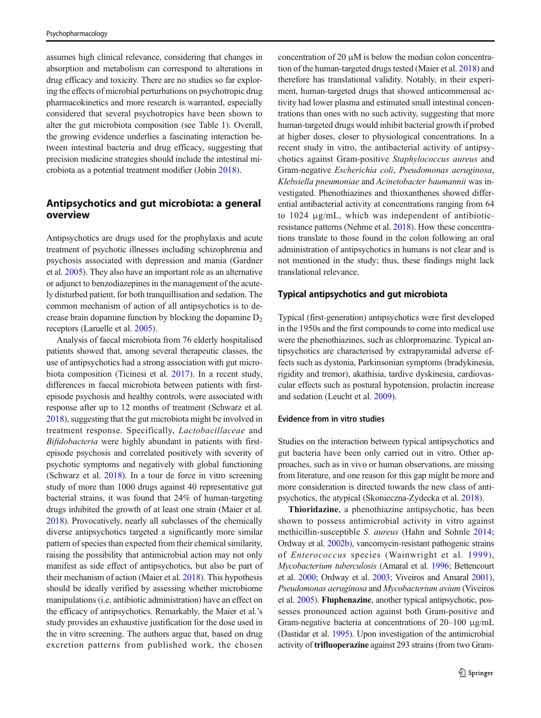assumes high clinical relevance, considering that changes in absorption and metabolism can correspond to alterations in drug efficacy and toxicity. There are no studies so far exploring the effects of microbial perturbations on psychotropic drug pharmacokinetics and more research is warranted, especially considered that several psychotropics have been shown to alter the gut microbiota composition (see Table [1\)](#page-6-0). Overall, the growing evidence underlies a fascinating interaction between intestinal bacteria and drug efficacy, suggesting that precision medicine strategies should include the intestinal microbiota as a potential treatment modifier (Jobin [2018](#page-19-0)).

# Antipsychotics and gut microbiota: a general overview

Antipsychotics are drugs used for the prophylaxis and acute treatment of psychotic illnesses including schizophrenia and psychosis associated with depression and mania (Gardner et al. [2005](#page-19-0)). They also have an important role as an alternative or adjunct to benzodiazepines in the management of the acutely disturbed patient, for both tranquillisation and sedation. The common mechanism of action of all antipsychotics is to decrease brain dopamine function by blocking the dopamine  $D<sub>2</sub>$ receptors (Laruelle et al. [2005\)](#page-19-0).

Analysis of faecal microbiota from 76 elderly hospitalised patients showed that, among several therapeutic classes, the use of antipsychotics had a strong association with gut microbiota composition (Ticinesi et al. [2017\)](#page-21-0). In a recent study, differences in faecal microbiota between patients with firstepisode psychosis and healthy controls, were associated with response after up to 12 months of treatment (Schwarz et al. [2018\)](#page-21-0), suggesting that the gut microbiota might be involved in treatment response. Specifically, Lactobacillaceae and Bifidobacteria were highly abundant in patients with firstepisode psychosis and correlated positively with severity of psychotic symptoms and negatively with global functioning (Schwarz et al. [2018](#page-21-0)). In a tour de force in vitro screening study of more than 1000 drugs against 40 representative gut bacterial strains, it was found that 24% of human-targeting drugs inhibited the growth of at least one strain (Maier et al. [2018\)](#page-20-0). Provocatively, nearly all subclasses of the chemically diverse antipsychotics targeted a significantly more similar pattern of species than expected from their chemical similarity, raising the possibility that antimicrobial action may not only manifest as side effect of antipsychotics, but also be part of their mechanism of action (Maier et al. [2018\)](#page-20-0). This hypothesis should be ideally verified by assessing whether microbiome manipulations (i.e. antibiotic administration) have an effect on the efficacy of antipsychotics. Remarkably, the Maier et al.'s study provides an exhaustive justification for the dose used in the in vitro screening. The authors argue that, based on drug excretion patterns from published work, the chosen

concentration of 20 μM is below the median colon concentration of the human-targeted drugs tested (Maier et al. [2018\)](#page-20-0) and therefore has translational validity. Notably, in their experiment, human-targeted drugs that showed anticommensal activity had lower plasma and estimated small intestinal concentrations than ones with no such activity, suggesting that more human-targeted drugs would inhibit bacterial growth if probed at higher doses, closer to physiological concentrations. In a recent study in vitro, the antibacterial activity of antipsychotics against Gram-positive Staphylococcus aureus and Gram-negative Escherichia coli, Pseudomonas aeruginosa, Klebsiella pneumoniae and Acinetobacter baumannii was investigated. Phenothiazines and thioxanthenes showed differential antibacterial activity at concentrations ranging from 64 to 1024 μg/mL, which was independent of antibioticresistance patterns (Nehme et al. [2018](#page-20-0)). How these concentrations translate to those found in the colon following an oral administration of antipsychotics in humans is not clear and is not mentioned in the study; thus, these findings might lack translational relevance.

#### Typical antipsychotics and gut microbiota

Typical (first-generation) antipsychotics were first developed in the 1950s and the first compounds to come into medical use were the phenothiazines, such as chlorpromazine. Typical antipsychotics are characterised by extrapyramidal adverse effects such as dystonia, Parkinsonian symptoms (bradykinesia, rigidity and tremor), akathisia, tardive dyskinesia, cardiovascular effects such as postural hypotension, prolactin increase and sedation (Leucht et al. [2009](#page-20-0)).

### Evidence from in vitro studies

Studies on the interaction between typical antipsychotics and gut bacteria have been only carried out in vitro. Other approaches, such as in vivo or human observations, are missing from literature, and one reason for this gap might be more and more consideration is directed towards the new class of antipsychotics, the atypical (Skonieczna-Zydecka et al. [2018\)](#page-21-0).

Thioridazine, a phenothiazine antipsychotic, has been shown to possess antimicrobial activity in vitro against methicillin-susceptible S. aureus (Hahn and Sohnle [2014;](#page-19-0) Ordway et al. [2002b](#page-20-0)), vancomycin-resistant pathogenic strains of Enterococcus species (Wainwright et al. [1999\)](#page-22-0), Mycobacterium tuberculosis (Amaral et al. [1996](#page-17-0); Bettencourt et al. [2000;](#page-18-0) Ordway et al. [2003](#page-20-0); Viveiros and Amaral [2001\)](#page-22-0), Pseudomonas aeruginosa and Mycobacterium avium (Viveiros et al. [2005](#page-22-0)). Fluphenazine, another typical antipsychotic, possesses pronounced action against both Gram-positive and Gram-negative bacteria at concentrations of 20–100 μg/mL (Dastidar et al. [1995\)](#page-18-0). Upon investigation of the antimicrobial activity of trifluoperazine against 293 strains (from two Gram-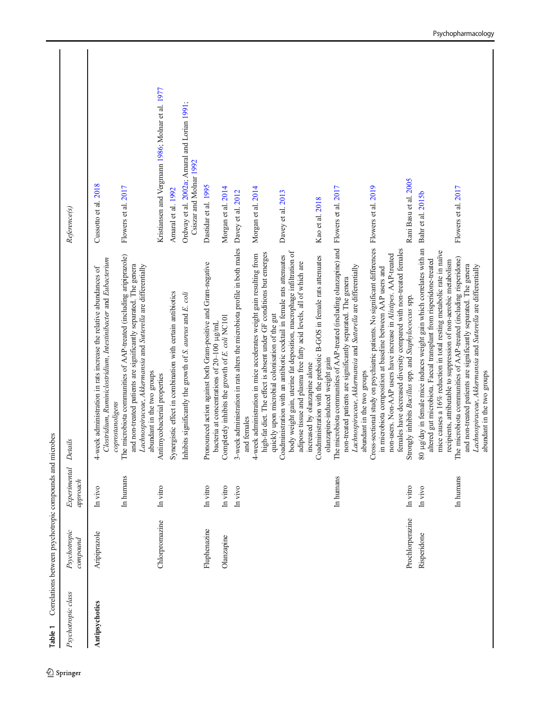<span id="page-6-0"></span>

| Table 1            | Correlations between psychotropic compounds and microbes |                                  |                                                                                                                                                                                                                                                                                                                                                                                                                                                                                                                                                                                                                                             |                                                                                                  |
|--------------------|----------------------------------------------------------|----------------------------------|---------------------------------------------------------------------------------------------------------------------------------------------------------------------------------------------------------------------------------------------------------------------------------------------------------------------------------------------------------------------------------------------------------------------------------------------------------------------------------------------------------------------------------------------------------------------------------------------------------------------------------------------|--------------------------------------------------------------------------------------------------|
| Psychotropic class | Psychotropic<br>compound                                 | Experimental<br>approach         | Details                                                                                                                                                                                                                                                                                                                                                                                                                                                                                                                                                                                                                                     | Reference(s)                                                                                     |
| Antipsychotics     | Chlorpromazine<br>Aripiprazole                           | In humans<br>In vitro<br>In vivo | The microbiota communities of AAP-treated (including aripiprazole)<br>Clostridium, Ruminiclostridium, Intestinibacter and Eubacterium<br>and non-treated patients are significantly separated. The genera<br>Lachnospiraceae, Akkermansia and Sutterella are differentially<br>4-week administration in rats increase the relative abundances of<br>abundant in the two groups<br>Antimycobacterial properties<br>coprostanoligens                                                                                                                                                                                                          | Kristiansen and Vergmann 1986; Molnar et al. 1977<br>Cussotto et al. 2018<br>Flowers et al. 2017 |
|                    |                                                          |                                  | Synergistic effect in combination with certain antibiotics<br>Inhibits significantly the growth of S. aureus and E. coli                                                                                                                                                                                                                                                                                                                                                                                                                                                                                                                    | Ordway et al. 2002a; Amaral and Lorian 1991;<br>Csiszar and Molnar 1992<br>Amaral et al. 1992    |
|                    | Fluphenazine<br>Olanzapine                               | In vitro<br>In vitro             | Pronounced action against both Gram-positive and Gram-negative<br>Completely inhibits the growth of E. coli NC101<br>bacteria at concentrations of 20-100 µg/mL                                                                                                                                                                                                                                                                                                                                                                                                                                                                             | Dastidar et al. 1995<br>Morgan et al. 2014                                                       |
|                    |                                                          | In vivo                          | 3-week administration in rats alters the microbiota profile in both males Davey et al. 2012<br>body weight gain, uterine fat deposition, macrophage infiltration of<br>high-fat diet. The effect is absent under GF conditions but emerges<br>4-week administration in mice accelerates weight gain resulting from<br>Coadministration with an antibiotic cocktail in female rats attenuates<br>Coadministration with the prebiotic B-GOS in female rats attenuates<br>adipose tissue and plasma free fatty acid levels, all of which are<br>quickly upon microbial colonisation of the gut<br>increased by olanzapine alone<br>and females | Morgan et al. 2014<br>Davey et al. 2013<br>Kao et al. 2018                                       |
|                    |                                                          | In humans                        | The microbiota communities of AAP-treated (including olanzapine) and Flowers et al. 2017<br>Cross-sectional study on psychiatric patients. No significant differences Flowers et al. 2019<br>females have decreased diversity compared with non-treated females<br>non-users. Non-AAP users have increase in Alistipes. AAP-treated<br>Lachnospiraceae, Akkermansia and Sutterella are differentially<br>in microbiota composition at baseline between AAP users and<br>non-treated patients are significantly separated. The genera<br>olanzapine-induced weight gain<br>abundant in the two groups                                        |                                                                                                  |
|                    | Prochlorperazine<br>Risperidone                          | In humans<br>In vitro<br>In vivo | ug/day in female mice induces weight gain which correlates with an<br>mice causes a 16% reduction in total resting metabolic rate in naïve<br>The microbiota communities of AAP-treated (including risperidone)<br>altered gut microbiota. Faecal transplant from risperidone-treated<br>recipients, attributable to suppression of non-aerobic metabolism<br>and non-treated patients are significantly separated. The genera<br>Lachnospiraceae, Akkermansia and Sutterella are differentially<br>Strongly inhibits Bacillus spp. and Staphylococcus spp.<br>abundant in the two groups<br>$\rm 80$                                       | Rani Basu et al. 2005<br>Flowers et al. 2017<br>Bahr et al. 2015b                                |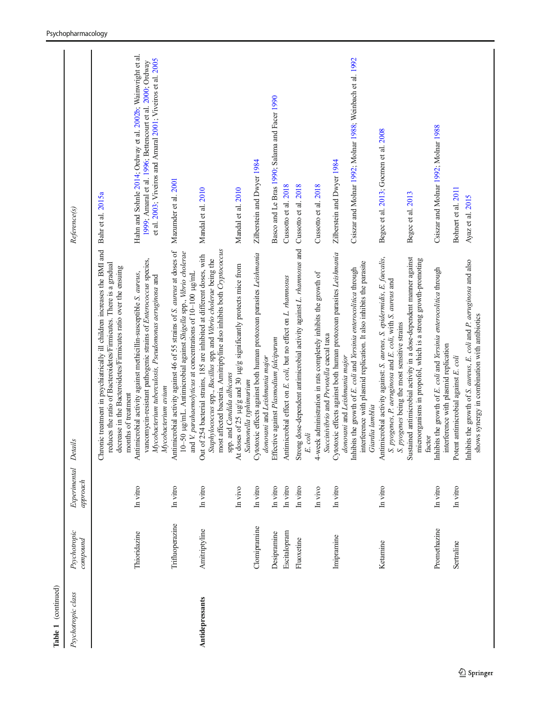| Table 1 (continued) |                          |                          |                                                                                                                                                                                                                                                                                                                     |                                                                                                                                                                                          |
|---------------------|--------------------------|--------------------------|---------------------------------------------------------------------------------------------------------------------------------------------------------------------------------------------------------------------------------------------------------------------------------------------------------------------|------------------------------------------------------------------------------------------------------------------------------------------------------------------------------------------|
| Psychotropic class  | Psychotropic<br>compound | Experimental<br>approach | Details                                                                                                                                                                                                                                                                                                             | Reference(s)                                                                                                                                                                             |
|                     |                          |                          | Chronic treatment in psychiatrically ill children increases the BMI and Bahr et al. 2015a<br>reduces the ratio of Bacteroidetes/Firmicutes. There is a gradual<br>decrease in the Bacteroidetes/Firmicutes ratio over the ensuing<br>months of treatment                                                            |                                                                                                                                                                                          |
|                     | Thioridazine             | In vitro                 | vancomycin-resistant pathogenic strains of Enterococcus species,<br>Antimicrobial activity against methicillin-susceptible S. aureus,<br>Mycobacterium tuberculosis, Pseudomonas aeruginosa and<br>Mycobacterium avium                                                                                              | Hahn and Sohnle 2014; Ordway et al. 2002b; Wainwright et al.<br>et al. 2003; Viveiros and Amaral 2001; Viveiros et al. 2005<br>1999; Amaral et al. 1996; Bettencourt et al. 2000; Ordway |
|                     | Trifluoperazine          | In vitro                 | Antimicrobial activity against 46 of 55 strains of S. aureus at doses of<br>10-50 µg/mL. Antimicrobial against Shigella spp., Vibrio cholerae<br>and V. parahaemolyticus at concentrations of 10-100 µg/mL                                                                                                          | Mazumder et al. 2001                                                                                                                                                                     |
| Antidepressants     | Amitriptyline            | In vitro<br>In vivo      | Staphylococcus spp., Bacillus spp. and Vibrio cholerae being the most affected bacteria. Amitriptyline also inhibits both Cryptococcus<br>Out of 254 bacterial strains, 185 are inhibited at different doses, with<br>At doses of 25 µg/g and 30 µg/g significantly protects mice from<br>spp. and Candida albicans | Mandal et al. 2010<br>Mandal et al. 2010                                                                                                                                                 |
|                     | Clomipramine             | In vitro                 | Salmonella typhimurium<br>Cytotoxic effects against both human protozoan parasites Leishmania<br>donovani and Leishmania major                                                                                                                                                                                      | Zilberstein and Dwyer 1984                                                                                                                                                               |
|                     | Desipramine              | In vitro                 | Effective against Plasmodium falciparum                                                                                                                                                                                                                                                                             | Basco and Le Bras 1990; Salama and Facer 1990                                                                                                                                            |
|                     | Escitalopram             | In vitro                 | Antimicrobial effect on E. coli, but no effect on L. rhamnosus                                                                                                                                                                                                                                                      | Cussotto et al. 2018                                                                                                                                                                     |
|                     | Fluoxetine               | In vitro                 | Strong dose-dependent antimicrobial activity against L. rhamnosus and Cussotto et al. 2018<br>E. coli                                                                                                                                                                                                               |                                                                                                                                                                                          |
|                     |                          | In vivo                  | 4-week administration in rats completely inhibits the growth of                                                                                                                                                                                                                                                     | Cussotto et al. 2018                                                                                                                                                                     |
|                     | Imipramine               | In vitro                 | Succinivibrio and Prevotella caecal taxa<br>Cytotoxic effects against both human protozoan parasites Leishmania<br>donovani and Leishmania major                                                                                                                                                                    | Zilberstein and Dwyer 1984                                                                                                                                                               |
|                     |                          |                          | interference with plasmid replication. It also inhibits the parasite<br>Inhibits the growth of E. coli and Yersinia enterocolitica through<br>Giardia lamblia                                                                                                                                                       | Csiszar and Molnar 1992; Molnar 1988; Weinbach et al. 1992                                                                                                                               |
|                     | Ketamine                 | In vitro                 | Antimicrobial activity against: S. aureus, S. epidermidis, E. faecalis,<br>S. pyogenes, P. aeruginosa and E. coli, with S. aureus and S. pyogenes being the most sensitive strains                                                                                                                                  | Begec et al. 2013; Gocmen et al. 2008                                                                                                                                                    |
|                     |                          |                          | Sustained antimicrobial activity in a dose-dependent manner against<br>microorganisms in propofol, which is a strong growth-promoting<br>factor                                                                                                                                                                     | Begec et al. 2013                                                                                                                                                                        |
|                     | Promethazine             | In vitro                 | Inhibits the growth of E. coli and Yersinia enterocolitica through<br>interference with plasmid replication                                                                                                                                                                                                         | Csiszar and Molnar 1992; Molnar 1988                                                                                                                                                     |
|                     | Sertraline               | In vitro                 | Potent antimicrobial against E. coli                                                                                                                                                                                                                                                                                | Bohnert et al. 2011                                                                                                                                                                      |
|                     |                          |                          | Inhibits the growth of S. aureus, E. coli and P. aeruginosa and also<br>shows synergy in combination with antibiotics                                                                                                                                                                                               | Ayaz et al. 2015                                                                                                                                                                         |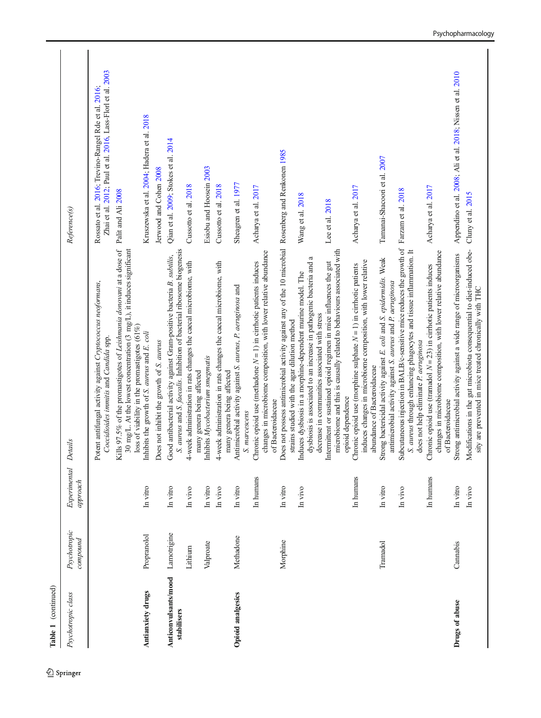| Table 1 (continued)                 |                          |                          |                                                                                                                                                                                                                                                                                                                                                                                                                                                                                                                      |                                                                                                                                          |
|-------------------------------------|--------------------------|--------------------------|----------------------------------------------------------------------------------------------------------------------------------------------------------------------------------------------------------------------------------------------------------------------------------------------------------------------------------------------------------------------------------------------------------------------------------------------------------------------------------------------------------------------|------------------------------------------------------------------------------------------------------------------------------------------|
| Psychotropic class                  | Psychotropic<br>compound | Experimental<br>approach | Details                                                                                                                                                                                                                                                                                                                                                                                                                                                                                                              | Reference(s)                                                                                                                             |
|                                     |                          |                          | Kills 97.5% of the promastigotes of Leishmania donovani at a dose of<br>30 mg/L. At the lowest concentration (3 mg/L), it induces significant<br>Potent antifungal activity against Cryptococcus neoformans,<br>Coccidioides immitis and Candida spp.                                                                                                                                                                                                                                                                | Zhai et al. 2012; Paul et al. 2016, Lass-Florl et al. 2003<br>Rossato et al. 2016; Trevino-Rangel Rde et al. 2016;<br>Palit and Ali 2008 |
| Antianxiety drugs                   | Propranolol              | In vitro                 | loss of viability in the promastigotes (61%)<br>Inhibits the growth of S. aureus and E. coli<br>Does not inhibit the growth of S. aureus                                                                                                                                                                                                                                                                                                                                                                             | Kruszewska et al. 2004; Hadera et al. 2018<br>Jerwood and Cohen 2008                                                                     |
| Anticonvulsants/mood<br>stabilisers | Lamotrigine<br>Lithium   | In vitro<br>In vivo      | S. aureus and S. faecalis. Inhibition of bacterial ribosome biogenesis<br>Good antibacterial activity against Gram-positive bacteria B. subtilis,<br>4-week administration in rats changes the caecal microbiome, with                                                                                                                                                                                                                                                                                               | Qian et al. 2009; Stokes et al. 2014<br>Cussotto et al. 2018                                                                             |
|                                     | Valproate                | In vitro<br>In vivo      | 4-week administration in rats changes the caecal microbiome, with<br>Inhibits Mycobacterium smegmatis<br>many genera being affected<br>many genera being affected                                                                                                                                                                                                                                                                                                                                                    | Esiobu and Hoosein 2003<br>Cussotto et al. 2018                                                                                          |
| <b>Opioid analgesics</b>            | Methadone                | In humans<br>In vitro    | changes in microbiome composition, with lower relative abundance<br>Chronic opioid use (methadone $N = 1$ ) in cirrhotic patients induces<br>Antimicrobial activity against S. aureus, P. aeruginosa and<br>of Bacteroidaceae<br>S. marcescens                                                                                                                                                                                                                                                                       | Sheagren et al. 1977<br>Acharya et al. 2017                                                                                              |
|                                     | Morphine                 | In vitro<br>In vivo      | Does not possess antimicrobial activity against any of the 10 microbial Rosenberg and Renkonen 1985<br>microbiome and this is causally related to behaviours associated with<br>ß<br>Intermittent or sustained opioid regimen in mice influences the gut<br>dysbiosis is associated to an increase in pathogenic bacteria and<br>Induces dysbiosis in a morphine-dependent murine model. The<br>decrease in communities associated with stress<br>strains studied with the agar dilution method<br>opioid dependence | Wang et al. 2018<br>Lee et al. 2018                                                                                                      |
|                                     |                          | In humans                | induces changes in microbiome composition, with lower relative<br>Chronic opioid use (morphine sulphate $N = 1$ ) in cirrhotic patients<br>abundance of Bacteroidaceae                                                                                                                                                                                                                                                                                                                                               | Acharya et al. 2017                                                                                                                      |
|                                     | Tramadol                 | In vitro<br>In vivo      | Subcutaneous injection in BALB/c-sensitive mice reduces the growth of Farzam et al. 2018<br>S. aureus through enhancing phagocytes and tissue inflammation. It<br>Strong bactericidal activity against E. coli and S. epidermidis. Weak<br>antimicrobial activity against S. aureus and P. aeruginosa<br>does not help eliminate P. aeruginosa                                                                                                                                                                       | Tamanai-Shacoori et al. 2007                                                                                                             |
|                                     |                          | In humans                | changes in microbiome composition, with lower relative abundance<br>Chronic opioid use (tramadol $N = 23$ ) in cirrhotic patients induces<br>of Bacteroidaceae                                                                                                                                                                                                                                                                                                                                                       | Acharya et al. 2017                                                                                                                      |
| Drugs of abuse                      | Cannabis                 | In vitro<br>In vivo      | Modifications in the gut microbiota consequential to diet-induced obe-<br>Strong antimicrobial activity against a wide range of microorganisms<br>sity are prevented in mice treated chronically with THC                                                                                                                                                                                                                                                                                                            | Appendino et al. 2008; Ali et al. 2018; Nissen et al. 2010<br>Cluny et al. 2015                                                          |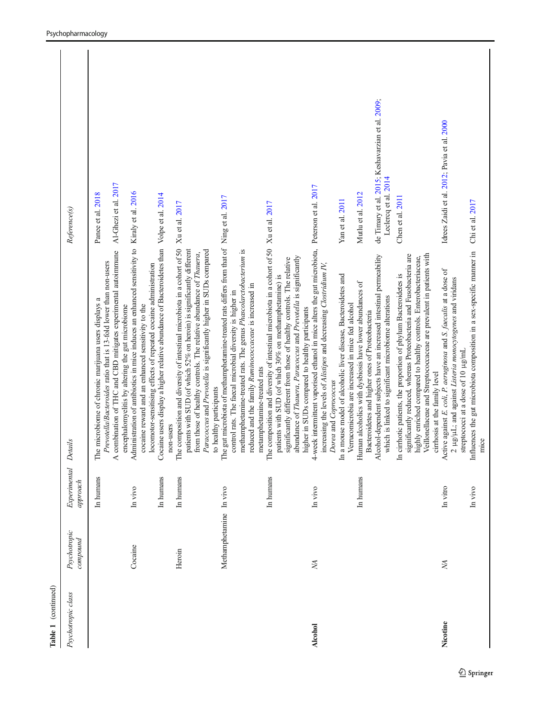| Table 1 (continued) |                          |                          |                                                                                                                                                                                                                                                                                                                                                                                                                                                                                                        |                                                                                                                  |
|---------------------|--------------------------|--------------------------|--------------------------------------------------------------------------------------------------------------------------------------------------------------------------------------------------------------------------------------------------------------------------------------------------------------------------------------------------------------------------------------------------------------------------------------------------------------------------------------------------------|------------------------------------------------------------------------------------------------------------------|
| Psychotropic class  | Psychotropic<br>compound | Experimental<br>approach | Details                                                                                                                                                                                                                                                                                                                                                                                                                                                                                                | Reference(s)                                                                                                     |
|                     |                          | In humans                | combination of THC and CBD mitigates experimental autoimmune<br>Prevotella/Bacteroides ratio that is 13-fold lower than non-users<br>The microbiome of chronic marijuana users displays a<br>encephalomyelitis by altering the gut microbiome<br>$\overline{\mathbf{A}}$                                                                                                                                                                                                                               | Al-Ghezi et al. 2017<br>Panee et al. 2018                                                                        |
|                     | Cocaine                  | In humans<br>In vivo     | Administration of antibiotics in mice induces an enhanced sensitivity to Kiraly et al. 2016<br>Cocaine users display a higher relative abundance of Bacteroidetes than Volpe et al. 2014<br>locomotor-sensitising effects of repeated cocaine administration<br>cocaine reward and an enhanced sensitivity to the                                                                                                                                                                                      |                                                                                                                  |
|                     | Heroin                   | In humans                | The composition and diversity of intestinal microbiota in a cohort of 50 Xu et al. 2017<br>patients with SUD (of which 52% on heroin) is significantly different<br>Paracoccus and Prevotella is significantly higher in SUDs compared<br>from those of healthy controls. The relative abundance of Thauera,<br>non-users                                                                                                                                                                              |                                                                                                                  |
|                     | Methamphetamine In vivo  |                          | The gut microbiota of methamphetamine-treated rats differs from that of Ning et al. 2017<br>methamphetamine-treated rats. The genus Phascolarctobacterium is<br>reduced and the family Ruminococcaceae is increased in<br>control rats. The faecal microbial diversity is higher in<br>to healthy participants                                                                                                                                                                                         |                                                                                                                  |
|                     |                          | In humans                | The composition and diversity of intestinal microbiota in a cohort of 50 Xu et al. 2017<br>abundance of Thauera, Paracoccus and Prevotella is significantly<br>significantly different from those of healthy controls. The relative<br>patients with SUD (of which 30% on methamphetamine) is<br>metamphetamine-treated rats                                                                                                                                                                           |                                                                                                                  |
| <b>Alcohol</b>      | <b>NA</b>                | In vivo                  | 4-week intermittent vaporised ethanol in mice alters the gut microbiota, Peterson et al. 2017<br>increasing the levels of Alistipes and decreasing Clostridium IV,<br>higher in SUDs compared to healthy participants<br>Dorea and Coprococcus                                                                                                                                                                                                                                                         |                                                                                                                  |
|                     |                          | In humans                | Alcohol-dependent subjects have an increased intestinal permeability<br>In a mouse model of alcoholic liver disease, Bacteroidetes and<br>Human alcoholics with dysbiosis have lower abundances of<br>which is linked to significant microbiome alterations<br>Verrucomicrobia are increased in mice fed alcohol<br>Bacteroidetes and higher ones of Proteobacteria                                                                                                                                    | de Timary et al. 2015; Keshavarzian et al. 2009;<br>Leclercq et al. 2014<br>Mutlu et al. 2012<br>Yan et al. 2011 |
| Nicotine            | ХĀ,                      | In vitro                 | Veillonellaceae and Streptococcaceae are prevalent in patients with<br>significantly reduced, whereas Proteobacteria and Fusobacteria are<br>highly enriched compared to healthy controls. Enterobacteriaceae,<br>Active against E. coli, P. aeruginosa and S. faecalis at a dose of<br>In cirrhotic patients, the proportion of phylum Bacteroidetes is<br>2 $\mu$ g/ $\mu$ L; and against Listeria monocytogenes and viridans<br>streptococci at a dose of 10 µg/mL<br>cirrhosis at the family level | Idrees Zaidi et al. 2012; Pavia et al. 2000<br>Chen et al. 2011                                                  |
|                     |                          | In vivo                  | Influences the gut microbiota composition in a sex-specific manner in Chi et al. 2017<br>mice                                                                                                                                                                                                                                                                                                                                                                                                          |                                                                                                                  |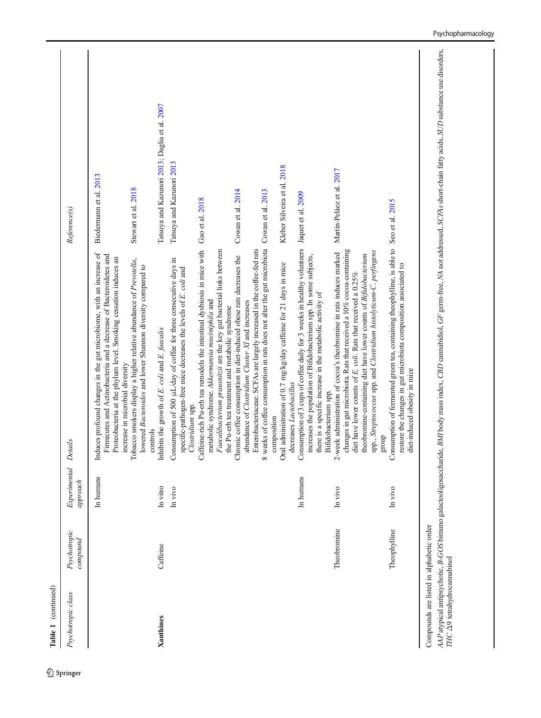| Table 1 (continued)                                                            |                          |                          |                                                                                                                                                                                                                                                                                                                                                                  |                                               |
|--------------------------------------------------------------------------------|--------------------------|--------------------------|------------------------------------------------------------------------------------------------------------------------------------------------------------------------------------------------------------------------------------------------------------------------------------------------------------------------------------------------------------------|-----------------------------------------------|
| Psychotropic class                                                             | Psychotropic<br>compound | Experimental<br>approach | Reference(s)<br>Details                                                                                                                                                                                                                                                                                                                                          |                                               |
|                                                                                |                          | In humans                | Induces profound changes in the gut microbiome, with an increase of<br>Firmicutes and Actinobacteria and a decrease of Bacteroidetes and<br>Proteobacteria at the phylum level. Smoking cessation induces an<br>increase in microbial diversity                                                                                                                  | Biedermann et al. 2013                        |
|                                                                                |                          |                          | Tobacco smokers display a higher relative abundance of Prevotella,<br>lowered Bacteroides and lower Shannon diversity compared to<br>controls                                                                                                                                                                                                                    | Stewart et al. 2018                           |
| <b>Xanthines</b>                                                               | Caffeine                 | In vitro                 | Inhibits the growth of E. coli and E. faecalis                                                                                                                                                                                                                                                                                                                   | Tatsuya and Kazunori 2013; Daglia et al. 2007 |
|                                                                                |                          | In vivo                  | Consumption of 500 µL/day of coffee for three consecutive days in<br>specific-pathogen-free mice decreases the levels of $E$ , coli and Clostridium spp.                                                                                                                                                                                                         | Tatsuya and Kazunori 2013                     |
|                                                                                |                          |                          | Gao et al. 2018<br>Caffeine-rich Pu-erh tea remodels the intestinal dysbiosis in mice with<br>Faecalibacterium prausnitzii are the key gut bacterial links between<br>metabolic syndrome. Akkermansia muciniphila and<br>the Pu-erh tea treatment and metabolic syndrome                                                                                         |                                               |
|                                                                                |                          |                          | Enterobacteriaceae. SCFAs are largely increased in the coffee-fed rats<br>Chronic coffee consumption in diet-induced obese rats decreases the<br>abundance of Clostridium Cluster $XI$ and increases                                                                                                                                                             | Cowan et al. 2014                             |
|                                                                                |                          |                          | 8 weeks of coffee consumption in rats does not alter the gut microbiota<br>composition                                                                                                                                                                                                                                                                           | Cowan et al. 2013                             |
|                                                                                |                          |                          | Oral administration of 0.7 mg/kg/day caffeine for 21 days in mice<br>decreases Lactobacillus                                                                                                                                                                                                                                                                     | Kleber Silveira et al. 2018                   |
|                                                                                |                          | In humans                | Consumption of 3 cups of coffee daily for 3 weeks in healthy volunteers<br>increases the population of Bifidobacterium spp. In some subjects,<br>there is a specific increase in the metabolic activity of<br>Bifidobacterium spp.                                                                                                                               | Jaquet et al. 2009                            |
|                                                                                | Theobromine              | In vivo                  | changes in gut microbiota. Rats that received a 10% cocoa-containing<br>spp., Streptococcus spp. and Clostridium histolyticum-C. perfingens<br>2-week administration of cocoa's theobromine in rats induces marked<br>theobromine-containing diet have lower counts of Bifdobacterium<br>diet have lower counts of E. coli. Rats that received a 0.25%<br>dno.fa | Martín-Peláez et al. 2017                     |
|                                                                                | Theophylline             | In vivo                  | Consumption of fermented green tea, containing theophylline, is able to Seo et al. 2015<br>restore the changes in gut microbiota composition associated to<br>diet-induced obesity in mice                                                                                                                                                                       |                                               |
| Compounds are listed in alphabetic order<br>THC $\Delta$ 9 tetrahydrocamabinol |                          |                          | AAP atypical antipsychotic, B-GOS bimuno galactooligosaccharide, BMI body mass index, CBD cannabidiol, GF germ-free, NA not addressed, SCFAs short-chain fatty acids, SUD substance use disorders,                                                                                                                                                               |                                               |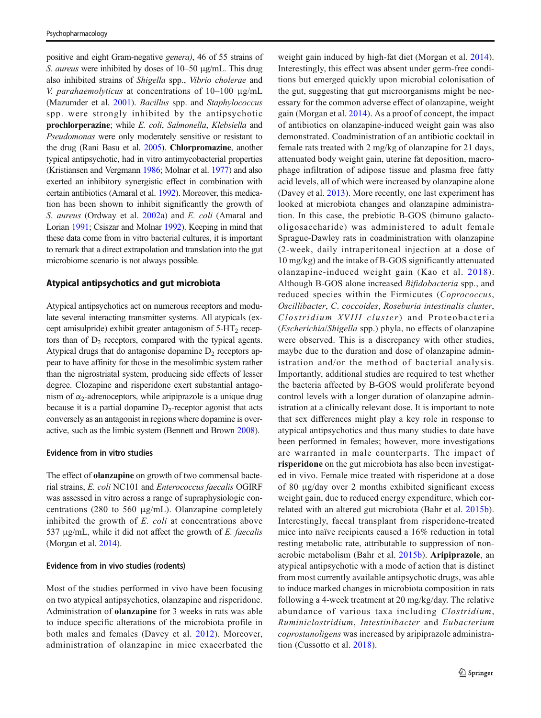positive and eight Gram-negative genera), 46 of 55 strains of S. aureus were inhibited by doses of 10–50 μg/mL. This drug also inhibited strains of Shigella spp., Vibrio cholerae and V. parahaemolyticus at concentrations of 10–100 μg/mL (Mazumder et al. [2001\)](#page-20-0). Bacillus spp. and Staphylococcus spp. were strongly inhibited by the antipsychotic prochlorperazine; while E. coli, Salmonella, Klebsiella and Pseudomonas were only moderately sensitive or resistant to the drug (Rani Basu et al. [2005\)](#page-21-0). Chlorpromazine, another typical antipsychotic, had in vitro antimycobacterial properties (Kristiansen and Vergmann [1986](#page-19-0); Molnar et al. [1977\)](#page-20-0) and also exerted an inhibitory synergistic effect in combination with certain antibiotics (Amaral et al. [1992](#page-17-0)). Moreover, this medication has been shown to inhibit significantly the growth of S. aureus (Ordway et al. [2002a](#page-20-0)) and E. coli (Amaral and Lorian [1991](#page-17-0); Csiszar and Molnar [1992\)](#page-18-0). Keeping in mind that these data come from in vitro bacterial cultures, it is important to remark that a direct extrapolation and translation into the gut microbiome scenario is not always possible.

### Atypical antipsychotics and gut microbiota

Atypical antipsychotics act on numerous receptors and modulate several interacting transmitter systems. All atypicals (except amisulpride) exhibit greater antagonism of  $5-HT<sub>2</sub>$  receptors than of  $D_2$  receptors, compared with the typical agents. Atypical drugs that do antagonise dopamine  $D<sub>2</sub>$  receptors appear to have affinity for those in the mesolimbic system rather than the nigrostriatal system, producing side effects of lesser degree. Clozapine and risperidone exert substantial antagonism of  $\alpha_2$ -adrenoceptors, while aripiprazole is a unique drug because it is a partial dopamine  $D<sub>2</sub>$ -receptor agonist that acts conversely as an antagonist in regions where dopamine is overactive, such as the limbic system (Bennett and Brown [2008\)](#page-18-0).

#### Evidence from in vitro studies

The effect of olanzapine on growth of two commensal bacterial strains, E. coli NC101 and Enterococcus faecalis OGIRF was assessed in vitro across a range of supraphysiologic concentrations (280 to 560 μg/mL). Olanzapine completely inhibited the growth of E. coli at concentrations above 537 μg/mL, while it did not affect the growth of  $E$ . faecalis (Morgan et al. [2014\)](#page-20-0).

### Evidence from in vivo studies (rodents)

Most of the studies performed in vivo have been focusing on two atypical antipsychotics, olanzapine and risperidone. Administration of olanzapine for 3 weeks in rats was able to induce specific alterations of the microbiota profile in both males and females (Davey et al. [2012](#page-18-0)). Moreover, administration of olanzapine in mice exacerbated the weight gain induced by high-fat diet (Morgan et al. [2014](#page-20-0)). Interestingly, this effect was absent under germ-free conditions but emerged quickly upon microbial colonisation of the gut, suggesting that gut microorganisms might be necessary for the common adverse effect of olanzapine, weight gain (Morgan et al. [2014](#page-20-0)). As a proof of concept, the impact of antibiotics on olanzapine-induced weight gain was also demonstrated. Coadministration of an antibiotic cocktail in female rats treated with 2 mg/kg of olanzapine for 21 days, attenuated body weight gain, uterine fat deposition, macrophage infiltration of adipose tissue and plasma free fatty acid levels, all of which were increased by olanzapine alone (Davey et al. [2013](#page-18-0)). More recently, one last experiment has looked at microbiota changes and olanzapine administration. In this case, the prebiotic B-GOS (bimuno galactooligosaccharide) was administered to adult female Sprague-Dawley rats in coadministration with olanzapine (2-week, daily intraperitoneal injection at a dose of 10 mg/kg) and the intake of B-GOS significantly attenuated olanzapine-induced weight gain (Kao et al. [2018\)](#page-19-0). Although B-GOS alone increased Bifidobacteria spp., and reduced species within the Firmicutes (Coprococcus, Oscillibacter, C. coccoides, Roseburia intestinalis cluster, Clostridium XVIII cluster) and Proteobacteria (Escherichia/Shigella spp.) phyla, no effects of olanzapine were observed. This is a discrepancy with other studies, maybe due to the duration and dose of olanzapine administration and/or the method of bacterial analysis. Importantly, additional studies are required to test whether the bacteria affected by B-GOS would proliferate beyond control levels with a longer duration of olanzapine administration at a clinically relevant dose. It is important to note that sex differences might play a key role in response to atypical antipsychotics and thus many studies to date have been performed in females; however, more investigations are warranted in male counterparts. The impact of risperidone on the gut microbiota has also been investigated in vivo. Female mice treated with risperidone at a dose of 80 μg/day over 2 months exhibited significant excess weight gain, due to reduced energy expenditure, which correlated with an altered gut microbiota (Bahr et al. [2015b](#page-18-0)). Interestingly, faecal transplant from risperidone-treated mice into naïve recipients caused a 16% reduction in total resting metabolic rate, attributable to suppression of nonaerobic metabolism (Bahr et al. [2015b\)](#page-18-0). Aripiprazole, an atypical antipsychotic with a mode of action that is distinct from most currently available antipsychotic drugs, was able to induce marked changes in microbiota composition in rats following a 4-week treatment at 20 mg/kg/day. The relative abundance of various taxa including Clostridium, Ruminiclostridium, Intestinibacter and Eubacterium coprostanoligens was increased by aripiprazole administration (Cussotto et al. [2018](#page-18-0)).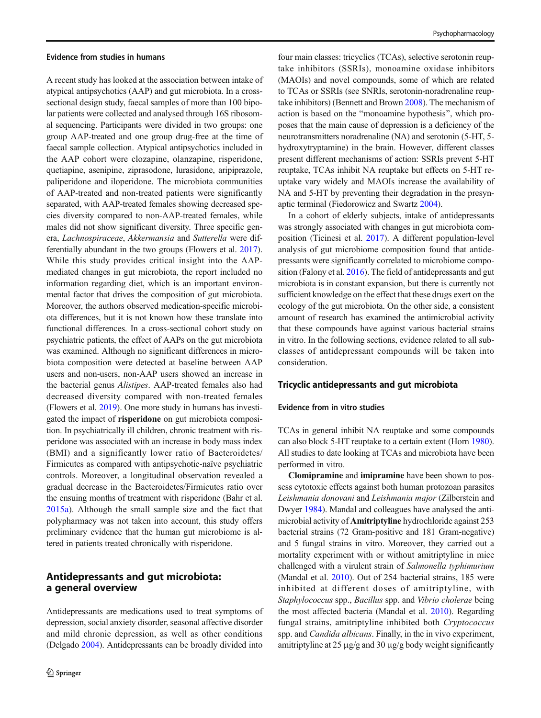#### Evidence from studies in humans

A recent study has looked at the association between intake of atypical antipsychotics (AAP) and gut microbiota. In a crosssectional design study, faecal samples of more than 100 bipolar patients were collected and analysed through 16S ribosomal sequencing. Participants were divided in two groups: one group AAP-treated and one group drug-free at the time of faecal sample collection. Atypical antipsychotics included in the AAP cohort were clozapine, olanzapine, risperidone, quetiapine, asenipine, ziprasodone, lurasidone, aripiprazole, paliperidone and iloperidone. The microbiota communities of AAP-treated and non-treated patients were significantly separated, with AAP-treated females showing decreased species diversity compared to non-AAP-treated females, while males did not show significant diversity. Three specific genera, Lachnospiraceae, Akkermansia and Sutterella were differentially abundant in the two groups (Flowers et al. [2017\)](#page-19-0). While this study provides critical insight into the AAPmediated changes in gut microbiota, the report included no information regarding diet, which is an important environmental factor that drives the composition of gut microbiota. Moreover, the authors observed medication-specific microbiota differences, but it is not known how these translate into functional differences. In a cross-sectional cohort study on psychiatric patients, the effect of AAPs on the gut microbiota was examined. Although no significant differences in microbiota composition were detected at baseline between AAP users and non-users, non-AAP users showed an increase in the bacterial genus Alistipes. AAP-treated females also had decreased diversity compared with non-treated females (Flowers et al. [2019\)](#page-19-0). One more study in humans has investigated the impact of risperidone on gut microbiota composition. In psychiatrically ill children, chronic treatment with risperidone was associated with an increase in body mass index (BMI) and a significantly lower ratio of Bacteroidetes/ Firmicutes as compared with antipsychotic-naïve psychiatric controls. Moreover, a longitudinal observation revealed a gradual decrease in the Bacteroidetes/Firmicutes ratio over the ensuing months of treatment with risperidone (Bahr et al. [2015a\)](#page-18-0). Although the small sample size and the fact that polypharmacy was not taken into account, this study offers preliminary evidence that the human gut microbiome is altered in patients treated chronically with risperidone.

# Antidepressants and gut microbiota: a general overview

Antidepressants are medications used to treat symptoms of depression, social anxiety disorder, seasonal affective disorder and mild chronic depression, as well as other conditions (Delgado [2004](#page-18-0)). Antidepressants can be broadly divided into

four main classes: tricyclics (TCAs), selective serotonin reuptake inhibitors (SSRIs), monoamine oxidase inhibitors (MAOIs) and novel compounds, some of which are related to TCAs or SSRIs (see SNRIs, serotonin-noradrenaline reuptake inhibitors) (Bennett and Brown [2008](#page-18-0)). The mechanism of action is based on the "monoamine hypothesis", which proposes that the main cause of depression is a deficiency of the neurotransmitters noradrenaline (NA) and serotonin (5-HT, 5 hydroxytryptamine) in the brain. However, different classes present different mechanisms of action: SSRIs prevent 5-HT reuptake, TCAs inhibit NA reuptake but effects on 5-HT reuptake vary widely and MAOIs increase the availability of NA and 5-HT by preventing their degradation in the presynaptic terminal (Fiedorowicz and Swartz [2004\)](#page-19-0).

In a cohort of elderly subjects, intake of antidepressants was strongly associated with changes in gut microbiota composition (Ticinesi et al. [2017\)](#page-21-0). A different population-level analysis of gut microbiome composition found that antidepressants were significantly correlated to microbiome composition (Falony et al. [2016](#page-18-0)). The field of antidepressants and gut microbiota is in constant expansion, but there is currently not sufficient knowledge on the effect that these drugs exert on the ecology of the gut microbiota. On the other side, a consistent amount of research has examined the antimicrobial activity that these compounds have against various bacterial strains in vitro. In the following sections, evidence related to all subclasses of antidepressant compounds will be taken into consideration.

#### Tricyclic antidepressants and gut microbiota

### Evidence from in vitro studies

TCAs in general inhibit NA reuptake and some compounds can also block 5-HT reuptake to a certain extent (Horn [1980\)](#page-19-0). All studies to date looking at TCAs and microbiota have been performed in vitro.

Clomipramine and imipramine have been shown to possess cytotoxic effects against both human protozoan parasites Leishmania donovani and Leishmania major (Zilberstein and Dwyer [1984\)](#page-22-0). Mandal and colleagues have analysed the antimicrobial activity of Amitriptyline hydrochloride against 253 bacterial strains (72 Gram-positive and 181 Gram-negative) and 5 fungal strains in vitro. Moreover, they carried out a mortality experiment with or without amitriptyline in mice challenged with a virulent strain of Salmonella typhimurium (Mandal et al. [2010\)](#page-20-0). Out of 254 bacterial strains, 185 were inhibited at different doses of amitriptyline, with Staphylococcus spp., Bacillus spp. and Vibrio cholerae being the most affected bacteria (Mandal et al. [2010](#page-20-0)). Regarding fungal strains, amitriptyline inhibited both Cryptococcus spp. and Candida albicans. Finally, in the in vivo experiment, amitriptyline at 25  $\mu$ g/g and 30  $\mu$ g/g body weight significantly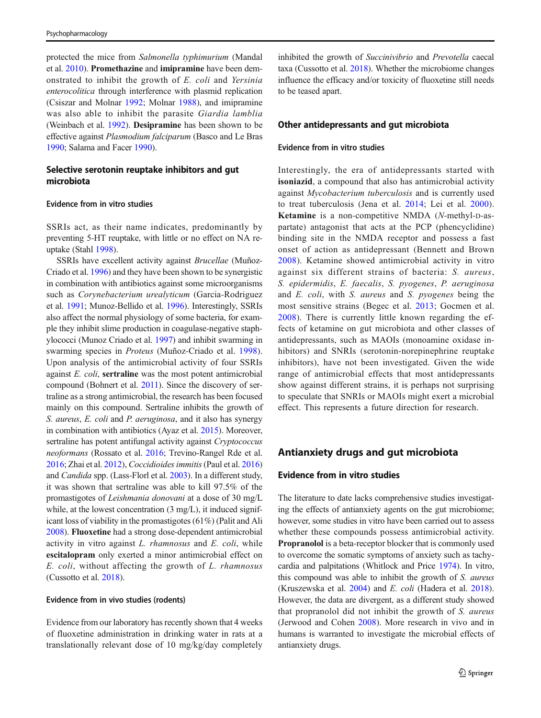<span id="page-13-0"></span>protected the mice from Salmonella typhimurium (Mandal et al. [2010\)](#page-20-0). Promethazine and imipramine have been demonstrated to inhibit the growth of E. coli and Yersinia enterocolitica through interference with plasmid replication (Csiszar and Molnar [1992](#page-18-0); Molnar [1988](#page-20-0)), and imipramine was also able to inhibit the parasite Giardia lamblia (Weinbach et al. [1992](#page-22-0)). Desipramine has been shown to be effective against Plasmodium falciparum (Basco and Le Bras [1990;](#page-18-0) Salama and Facer [1990](#page-21-0)).

### Selective serotonin reuptake inhibitors and gut microbiota

### Evidence from in vitro studies

SSRIs act, as their name indicates, predominantly by preventing 5-HT reuptake, with little or no effect on NA reuptake (Stahl [1998\)](#page-21-0).

SSRIs have excellent activity against Brucellae (Muñoz-Criado et al. [1996\)](#page-20-0) and they have been shown to be synergistic in combination with antibiotics against some microorganisms such as Corynebacterium urealyticum (Garcia-Rodriguez et al. [1991;](#page-19-0) Munoz-Bellido et al. [1996\)](#page-20-0). Interestingly, SSRIs also affect the normal physiology of some bacteria, for example they inhibit slime production in coagulase-negative staphylococci (Munoz Criado et al. [1997](#page-20-0)) and inhibit swarming in swarming species in Proteus (Muñoz-Criado et al. [1998](#page-20-0)). Upon analysis of the antimicrobial activity of four SSRIs against E. coli, sertraline was the most potent antimicrobial compound (Bohnert et al. [2011\)](#page-18-0). Since the discovery of sertraline as a strong antimicrobial, the research has been focused mainly on this compound. Sertraline inhibits the growth of S. aureus, E. coli and P. aeruginosa, and it also has synergy in combination with antibiotics (Ayaz et al. [2015\)](#page-18-0). Moreover, sertraline has potent antifungal activity against *Cryptococcus* neoformans (Rossato et al. [2016](#page-21-0); Trevino-Rangel Rde et al. [2016;](#page-21-0) Zhai et al. [2012](#page-22-0)), Coccidioides immitis(Paul et al. [2016\)](#page-20-0) and Candida spp. (Lass-Florl et al. [2003\)](#page-19-0). In a different study, it was shown that sertraline was able to kill 97.5% of the promastigotes of Leishmania donovani at a dose of 30 mg/L while, at the lowest concentration (3 mg/L), it induced significant loss of viability in the promastigotes (61%) (Palit and Ali [2008\)](#page-20-0). Fluoxetine had a strong dose-dependent antimicrobial activity in vitro against L. rhamnosus and E. coli, while escitalopram only exerted a minor antimicrobial effect on E. coli, without affecting the growth of L. rhamnosus (Cussotto et al. [2018\)](#page-18-0).

#### Evidence from in vivo studies (rodents)

Evidence from our laboratory has recently shown that 4 weeks of fluoxetine administration in drinking water in rats at a translationally relevant dose of 10 mg/kg/day completely inhibited the growth of Succinivibrio and Prevotella caecal taxa (Cussotto et al. [2018](#page-18-0)). Whether the microbiome changes influence the efficacy and/or toxicity of fluoxetine still needs to be teased apart.

### Other antidepressants and gut microbiota

#### Evidence from in vitro studies

Interestingly, the era of antidepressants started with isoniazid, a compound that also has antimicrobial activity against Mycobacterium tuberculosis and is currently used to treat tuberculosis (Jena et al. [2014;](#page-19-0) Lei et al. [2000](#page-20-0)). Ketamine is a non-competitive NMDA (N-methyl-D-aspartate) antagonist that acts at the PCP (phencyclidine) binding site in the NMDA receptor and possess a fast onset of action as antidepressant (Bennett and Brown [2008\)](#page-18-0). Ketamine showed antimicrobial activity in vitro against six different strains of bacteria: S. aureus, S. epidermidis, E. faecalis, S. pyogenes, P. aeruginosa and E. coli, with S. aureus and S. pyogenes being the most sensitive strains (Begec et al. [2013](#page-18-0); Gocmen et al. [2008\)](#page-19-0). There is currently little known regarding the effects of ketamine on gut microbiota and other classes of antidepressants, such as MAOIs (monoamine oxidase inhibitors) and SNRIs (serotonin-norepinephrine reuptake inhibitors), have not been investigated. Given the wide range of antimicrobial effects that most antidepressants show against different strains, it is perhaps not surprising to speculate that SNRIs or MAOIs might exert a microbial effect. This represents a future direction for research.

### Antianxiety drugs and gut microbiota

### Evidence from in vitro studies

The literature to date lacks comprehensive studies investigating the effects of antianxiety agents on the gut microbiome; however, some studies in vitro have been carried out to assess whether these compounds possess antimicrobial activity. Propranolol is a beta-receptor blocker that is commonly used to overcome the somatic symptoms of anxiety such as tachycardia and palpitations (Whitlock and Price [1974\)](#page-22-0). In vitro, this compound was able to inhibit the growth of S. aureus (Kruszewska et al. [2004\)](#page-19-0) and E. coli (Hadera et al. [2018\)](#page-19-0). However, the data are divergent, as a different study showed that propranolol did not inhibit the growth of S. aureus (Jerwood and Cohen [2008](#page-19-0)). More research in vivo and in humans is warranted to investigate the microbial effects of antianxiety drugs.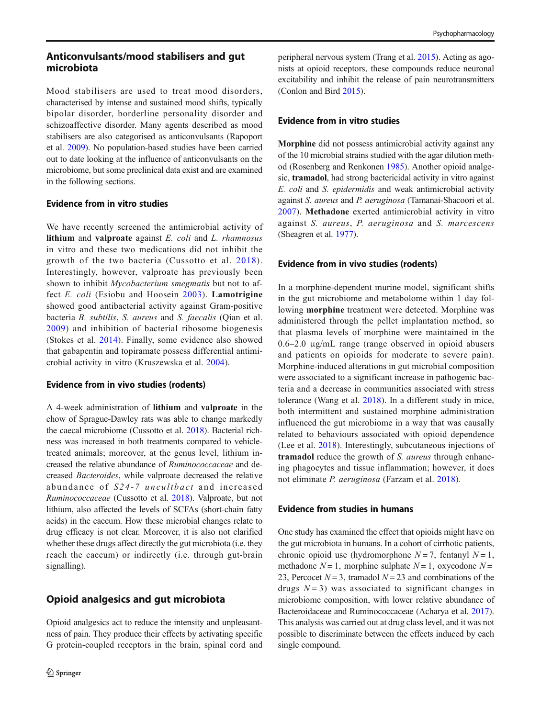Mood stabilisers are used to treat mood disorders, characterised by intense and sustained mood shifts, typically bipolar disorder, borderline personality disorder and schizoaffective disorder. Many agents described as mood stabilisers are also categorised as anticonvulsants (Rapoport et al. [2009\)](#page-21-0). No population-based studies have been carried out to date looking at the influence of anticonvulsants on the microbiome, but some preclinical data exist and are examined in the following sections.

# Evidence from in vitro studies

We have recently screened the antimicrobial activity of lithium and valproate against  $E$ . coli and  $L$ . rhamnosus in vitro and these two medications did not inhibit the growth of the two bacteria (Cussotto et al. [2018\)](#page-18-0). Interestingly, however, valproate has previously been shown to inhibit *Mycobacterium smegmatis* but not to af-fect E. coli (Esiobu and Hoosein [2003\)](#page-18-0). Lamotrigine showed good antibacterial activity against Gram-positive bacteria B. subtilis, S. aureus and S. faecalis (Qian et al. [2009](#page-21-0)) and inhibition of bacterial ribosome biogenesis (Stokes et al. [2014\)](#page-21-0). Finally, some evidence also showed that gabapentin and topiramate possess differential antimicrobial activity in vitro (Kruszewska et al. [2004](#page-19-0)).

# Evidence from in vivo studies (rodents)

A 4-week administration of lithium and valproate in the chow of Sprague-Dawley rats was able to change markedly the caecal microbiome (Cussotto et al. [2018\)](#page-18-0). Bacterial richness was increased in both treatments compared to vehicletreated animals; moreover, at the genus level, lithium increased the relative abundance of Ruminococcaceae and decreased Bacteroides, while valproate decreased the relative abundance of S24-7 uncultbact and increased Ruminococcaceae (Cussotto et al. [2018\)](#page-18-0). Valproate, but not lithium, also affected the levels of SCFAs (short-chain fatty acids) in the caecum. How these microbial changes relate to drug efficacy is not clear. Moreover, it is also not clarified whether these drugs affect directly the gut microbiota (i.e. they reach the caecum) or indirectly (i.e. through gut-brain signalling).

# Opioid analgesics and gut microbiota

Opioid analgesics act to reduce the intensity and unpleasantness of pain. They produce their effects by activating specific G protein-coupled receptors in the brain, spinal cord and

peripheral nervous system (Trang et al. [2015\)](#page-21-0). Acting as agonists at opioid receptors, these compounds reduce neuronal excitability and inhibit the release of pain neurotransmitters (Conlon and Bird [2015\)](#page-18-0).

# Evidence from in vitro studies

Morphine did not possess antimicrobial activity against any of the 10 microbial strains studied with the agar dilution method (Rosenberg and Renkonen [1985](#page-21-0)). Another opioid analgesic, tramadol, had strong bactericidal activity in vitro against E. coli and S. epidermidis and weak antimicrobial activity against S. aureus and P. aeruginosa (Tamanai-Shacoori et al. [2007](#page-21-0)). Methadone exerted antimicrobial activity in vitro against S. aureus, P. aeruginosa and S. marcescens (Sheagren et al. [1977](#page-21-0)).

# Evidence from in vivo studies (rodents)

In a morphine-dependent murine model, significant shifts in the gut microbiome and metabolome within 1 day following morphine treatment were detected. Morphine was administered through the pellet implantation method, so that plasma levels of morphine were maintained in the 0.6–2.0 μg/mL range (range observed in opioid abusers and patients on opioids for moderate to severe pain). Morphine-induced alterations in gut microbial composition were associated to a significant increase in pathogenic bacteria and a decrease in communities associated with stress tolerance (Wang et al. [2018\)](#page-22-0). In a different study in mice, both intermittent and sustained morphine administration influenced the gut microbiome in a way that was causally related to behaviours associated with opioid dependence (Lee et al. [2018\)](#page-20-0). Interestingly, subcutaneous injections of tramadol reduce the growth of S. aureus through enhancing phagocytes and tissue inflammation; however, it does not eliminate P. aeruginosa (Farzam et al. [2018\)](#page-19-0).

# Evidence from studies in humans

One study has examined the effect that opioids might have on the gut microbiota in humans. In a cohort of cirrhotic patients, chronic opioid use (hydromorphone  $N = 7$ , fentanyl  $N = 1$ , methadone  $N = 1$ , morphine sulphate  $N = 1$ , oxycodone  $N =$ 23, Percocet  $N = 3$ , tramadol  $N = 23$  and combinations of the drugs  $N = 3$ ) was associated to significant changes in microbiome composition, with lower relative abundance of Bacteroidaceae and Ruminococcaceae (Acharya et al. [2017\)](#page-17-0). This analysis was carried out at drug class level, and it was not possible to discriminate between the effects induced by each single compound.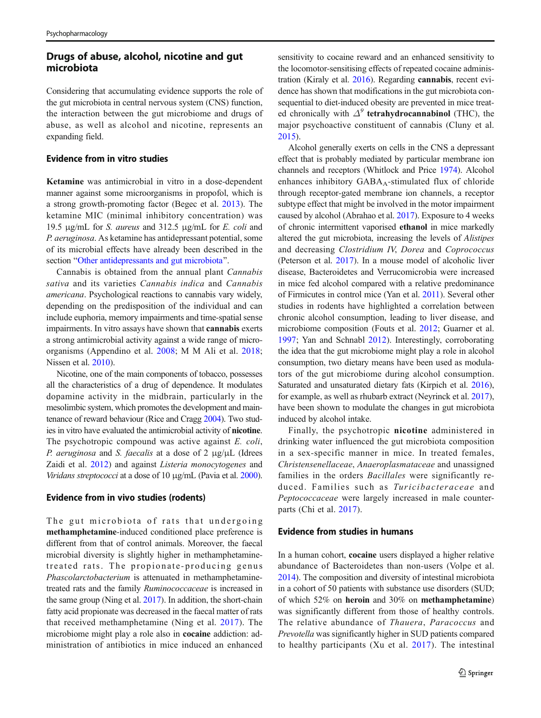# Drugs of abuse, alcohol, nicotine and gut microbiota

Considering that accumulating evidence supports the role of the gut microbiota in central nervous system (CNS) function, the interaction between the gut microbiome and drugs of abuse, as well as alcohol and nicotine, represents an expanding field.

### Evidence from in vitro studies

Ketamine was antimicrobial in vitro in a dose-dependent manner against some microorganisms in propofol, which is a strong growth-promoting factor (Begec et al. [2013](#page-18-0)). The ketamine MIC (minimal inhibitory concentration) was 19.5 μg/mL for *S. aureus* and 312.5 μg/mL for *E. coli* and P. aeruginosa. As ketamine has antidepressant potential, some of its microbial effects have already been described in the section "[Other antidepressants and gut microbiota](#page-13-0)".

Cannabis is obtained from the annual plant Cannabis sativa and its varieties Cannabis indica and Cannabis americana. Psychological reactions to cannabis vary widely, depending on the predisposition of the individual and can include euphoria, memory impairments and time-spatial sense impairments. In vitro assays have shown that cannabis exerts a strong antimicrobial activity against a wide range of microorganisms (Appendino et al. [2008;](#page-17-0) M M Ali et al. [2018](#page-17-0); Nissen et al. [2010](#page-20-0)).

Nicotine, one of the main components of tobacco, possesses all the characteristics of a drug of dependence. It modulates dopamine activity in the midbrain, particularly in the mesolimbic system, which promotes the development and maintenance of reward behaviour (Rice and Cragg [2004](#page-21-0)). Two studies in vitro have evaluated the antimicrobial activity of nicotine. The psychotropic compound was active against *E. coli*, P. aeruginosa and S. faecalis at a dose of  $2 \mu g/\mu L$  (Idrees Zaidi et al. [2012](#page-19-0)) and against Listeria monocytogenes and Viridans streptococci at a dose of 10 μg/mL (Pavia et al. [2000\)](#page-21-0).

#### Evidence from in vivo studies (rodents)

The gut microbiota of rats that undergoing methamphetamine-induced conditioned place preference is different from that of control animals. Moreover, the faecal microbial diversity is slightly higher in methamphetaminetreated rats. The propionate-producing genus Phascolarctobacterium is attenuated in methamphetaminetreated rats and the family Ruminococcaceae is increased in the same group (Ning et al. [2017](#page-20-0)). In addition, the short-chain fatty acid propionate was decreased in the faecal matter of rats that received methamphetamine (Ning et al. [2017](#page-20-0)). The microbiome might play a role also in cocaine addiction: administration of antibiotics in mice induced an enhanced

sensitivity to cocaine reward and an enhanced sensitivity to the locomotor-sensitising effects of repeated cocaine administration (Kiraly et al. [2016\)](#page-19-0). Regarding cannabis, recent evidence has shown that modifications in the gut microbiota consequential to diet-induced obesity are prevented in mice treated chronically with  $\Delta^9$  tetrahydrocannabinol (THC), the major psychoactive constituent of cannabis (Cluny et al. [2015\)](#page-18-0).

Alcohol generally exerts on cells in the CNS a depressant effect that is probably mediated by particular membrane ion channels and receptors (Whitlock and Price [1974\)](#page-22-0). Alcohol enhances inhibitory  $GABA_A$ -stimulated flux of chloride through receptor-gated membrane ion channels, a receptor subtype effect that might be involved in the motor impairment caused by alcohol (Abrahao et al. [2017](#page-17-0)). Exposure to 4 weeks of chronic intermittent vaporised ethanol in mice markedly altered the gut microbiota, increasing the levels of Alistipes and decreasing Clostridium IV, Dorea and Coprococcus (Peterson et al. [2017\)](#page-21-0). In a mouse model of alcoholic liver disease, Bacteroidetes and Verrucomicrobia were increased in mice fed alcohol compared with a relative predominance of Firmicutes in control mice (Yan et al. [2011\)](#page-22-0). Several other studies in rodents have highlighted a correlation between chronic alcohol consumption, leading to liver disease, and microbiome composition (Fouts et al. [2012;](#page-19-0) Guarner et al. [1997](#page-19-0); Yan and Schnabl [2012\)](#page-22-0). Interestingly, corroborating the idea that the gut microbiome might play a role in alcohol consumption, two dietary means have been used as modulators of the gut microbiome during alcohol consumption. Saturated and unsaturated dietary fats (Kirpich et al. [2016\)](#page-19-0), for example, as well as rhubarb extract (Neyrinck et al. [2017\)](#page-20-0), have been shown to modulate the changes in gut microbiota induced by alcohol intake.

Finally, the psychotropic nicotine administered in drinking water influenced the gut microbiota composition in a sex-specific manner in mice. In treated females, Christensenellaceae, Anaeroplasmataceae and unassigned families in the orders Bacillales were significantly reduced. Families such as Turicibacteraceae and Peptococcaceae were largely increased in male counterparts (Chi et al. [2017](#page-18-0)).

### Evidence from studies in humans

In a human cohort, cocaine users displayed a higher relative abundance of Bacteroidetes than non-users (Volpe et al. [2014\)](#page-22-0). The composition and diversity of intestinal microbiota in a cohort of 50 patients with substance use disorders (SUD; of which 52% on heroin and 30% on methamphetamine) was significantly different from those of healthy controls. The relative abundance of Thauera, Paracoccus and Prevotella was significantly higher in SUD patients compared to healthy participants (Xu et al. [2017\)](#page-22-0). The intestinal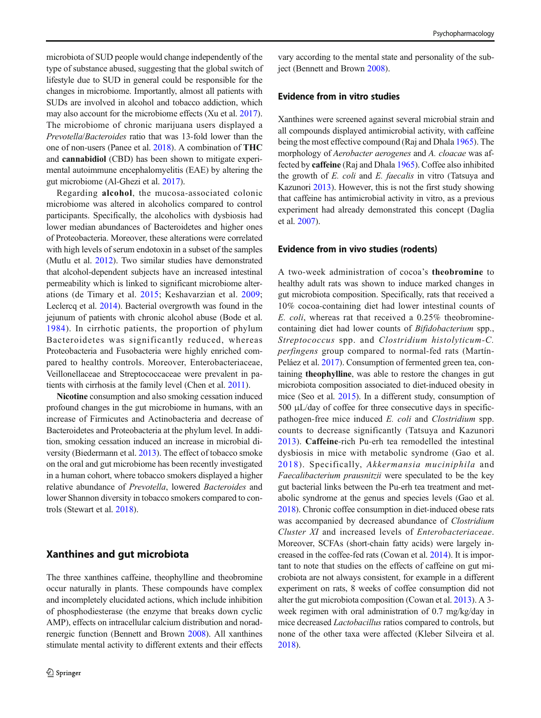microbiota of SUD people would change independently of the type of substance abused, suggesting that the global switch of lifestyle due to SUD in general could be responsible for the changes in microbiome. Importantly, almost all patients with SUDs are involved in alcohol and tobacco addiction, which may also account for the microbiome effects (Xu et al. [2017\)](#page-22-0). The microbiome of chronic marijuana users displayed a Prevotella/Bacteroides ratio that was 13-fold lower than the one of non-users (Panee et al. [2018](#page-20-0)). A combination of THC and cannabidiol (CBD) has been shown to mitigate experimental autoimmune encephalomyelitis (EAE) by altering the gut microbiome (Al-Ghezi et al. [2017](#page-17-0)).

Regarding alcohol, the mucosa-associated colonic microbiome was altered in alcoholics compared to control participants. Specifically, the alcoholics with dysbiosis had lower median abundances of Bacteroidetes and higher ones of Proteobacteria. Moreover, these alterations were correlated with high levels of serum endotoxin in a subset of the samples (Mutlu et al. [2012](#page-20-0)). Two similar studies have demonstrated that alcohol-dependent subjects have an increased intestinal permeability which is linked to significant microbiome alterations (de Timary et al. [2015](#page-18-0); Keshavarzian et al. [2009](#page-19-0); Leclercq et al. [2014](#page-19-0)). Bacterial overgrowth was found in the jejunum of patients with chronic alcohol abuse (Bode et al. [1984](#page-18-0)). In cirrhotic patients, the proportion of phylum Bacteroidetes was significantly reduced, whereas Proteobacteria and Fusobacteria were highly enriched compared to healthy controls. Moreover, Enterobacteriaceae, Veillonellaceae and Streptococcaceae were prevalent in patients with cirrhosis at the family level (Chen et al. [2011](#page-18-0)).

Nicotine consumption and also smoking cessation induced profound changes in the gut microbiome in humans, with an increase of Firmicutes and Actinobacteria and decrease of Bacteroidetes and Proteobacteria at the phylum level. In addition, smoking cessation induced an increase in microbial diversity (Biedermann et al. [2013](#page-18-0)). The effect of tobacco smoke on the oral and gut microbiome has been recently investigated in a human cohort, where tobacco smokers displayed a higher relative abundance of Prevotella, lowered Bacteroides and lower Shannon diversity in tobacco smokers compared to controls (Stewart et al. [2018\)](#page-21-0).

# Xanthines and gut microbiota

The three xanthines caffeine, theophylline and theobromine occur naturally in plants. These compounds have complex and incompletely elucidated actions, which include inhibition of phosphodiesterase (the enzyme that breaks down cyclic AMP), effects on intracellular calcium distribution and noradrenergic function (Bennett and Brown [2008\)](#page-18-0). All xanthines stimulate mental activity to different extents and their effects

vary according to the mental state and personality of the subject (Bennett and Brown [2008](#page-18-0)).

### Evidence from in vitro studies

Xanthines were screened against several microbial strain and all compounds displayed antimicrobial activity, with caffeine being the most effective compound (Raj and Dhala [1965\)](#page-21-0). The morphology of Aerobacter aerogenes and A. cloacae was affected by caffeine (Raj and Dhala [1965\)](#page-21-0). Coffee also inhibited the growth of E. coli and E. faecalis in vitro (Tatsuya and Kazunori [2013\)](#page-21-0). However, this is not the first study showing that caffeine has antimicrobial activity in vitro, as a previous experiment had already demonstrated this concept (Daglia et al. [2007](#page-18-0)).

#### Evidence from in vivo studies (rodents)

A two-week administration of cocoa's theobromine to healthy adult rats was shown to induce marked changes in gut microbiota composition. Specifically, rats that received a 10% cocoa-containing diet had lower intestinal counts of E. coli, whereas rat that received a 0.25% theobrominecontaining diet had lower counts of Bifidobacterium spp., Streptococcus spp. and Clostridium histolyticum-C. perfingens group compared to normal-fed rats (Martín-Peláez et al. [2017\)](#page-20-0). Consumption of fermented green tea, containing theophylline, was able to restore the changes in gut microbiota composition associated to diet-induced obesity in mice (Seo et al. [2015\)](#page-21-0). In a different study, consumption of 500 μL/day of coffee for three consecutive days in specificpathogen-free mice induced E. coli and Clostridium spp. counts to decrease significantly (Tatsuya and Kazunori [2013](#page-21-0)). Caffeine-rich Pu-erh tea remodelled the intestinal dysbiosis in mice with metabolic syndrome (Gao et al. [2018](#page-19-0)). Specifically, Akkermansia muciniphila and Faecalibacterium prausnitzii were speculated to be the key gut bacterial links between the Pu-erh tea treatment and metabolic syndrome at the genus and species levels (Gao et al. [2018\)](#page-19-0). Chronic coffee consumption in diet-induced obese rats was accompanied by decreased abundance of Clostridium Cluster XI and increased levels of Enterobacteriaceae. Moreover, SCFAs (short-chain fatty acids) were largely increased in the coffee-fed rats (Cowan et al. [2014](#page-18-0)). It is important to note that studies on the effects of caffeine on gut microbiota are not always consistent, for example in a different experiment on rats, 8 weeks of coffee consumption did not alter the gut microbiota composition (Cowan et al. [2013](#page-18-0)). A 3 week regimen with oral administration of 0.7 mg/kg/day in mice decreased Lactobacillus ratios compared to controls, but none of the other taxa were affected (Kleber Silveira et al. [2018\)](#page-19-0).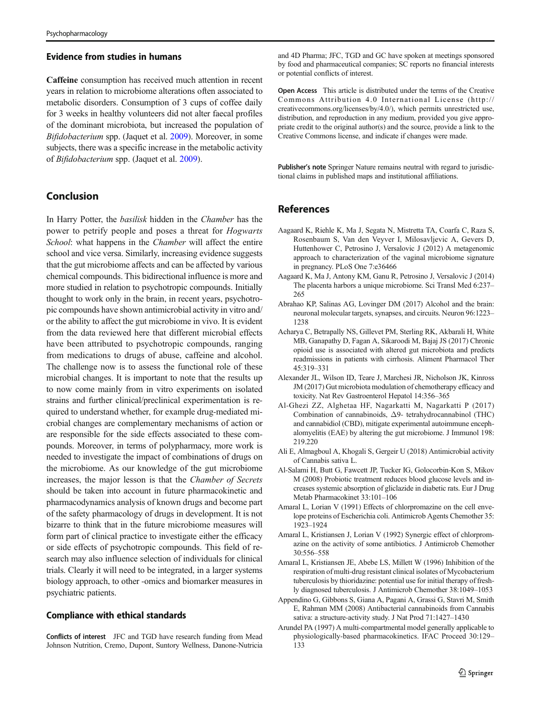#### <span id="page-17-0"></span>Evidence from studies in humans

Caffeine consumption has received much attention in recent years in relation to microbiome alterations often associated to metabolic disorders. Consumption of 3 cups of coffee daily for 3 weeks in healthy volunteers did not alter faecal profiles of the dominant microbiota, but increased the population of Bifidobacterium spp. (Jaquet et al. [2009\)](#page-19-0). Moreover, in some subjects, there was a specific increase in the metabolic activity of Bifidobacterium spp. (Jaquet et al. [2009](#page-19-0)).

# Conclusion

In Harry Potter, the basilisk hidden in the Chamber has the power to petrify people and poses a threat for Hogwarts School: what happens in the Chamber will affect the entire school and vice versa. Similarly, increasing evidence suggests that the gut microbiome affects and can be affected by various chemical compounds. This bidirectional influence is more and more studied in relation to psychotropic compounds. Initially thought to work only in the brain, in recent years, psychotropic compounds have shown antimicrobial activity in vitro and/ or the ability to affect the gut microbiome in vivo. It is evident from the data reviewed here that different microbial effects have been attributed to psychotropic compounds, ranging from medications to drugs of abuse, caffeine and alcohol. The challenge now is to assess the functional role of these microbial changes. It is important to note that the results up to now come mainly from in vitro experiments on isolated strains and further clinical/preclinical experimentation is required to understand whether, for example drug-mediated microbial changes are complementary mechanisms of action or are responsible for the side effects associated to these compounds. Moreover, in terms of polypharmacy, more work is needed to investigate the impact of combinations of drugs on the microbiome. As our knowledge of the gut microbiome increases, the major lesson is that the Chamber of Secrets should be taken into account in future pharmacokinetic and pharmacodynamics analysis of known drugs and become part of the safety pharmacology of drugs in development. It is not bizarre to think that in the future microbiome measures will form part of clinical practice to investigate either the efficacy or side effects of psychotropic compounds. This field of research may also influence selection of individuals for clinical trials. Clearly it will need to be integrated, in a larger systems biology approach, to other -omics and biomarker measures in psychiatric patients.

### Compliance with ethical standards

Conflicts of interest JFC and TGD have research funding from Mead Johnson Nutrition, Cremo, Dupont, Suntory Wellness, Danone-Nutricia and 4D Pharma; JFC, TGD and GC have spoken at meetings sponsored by food and pharmaceutical companies; SC reports no financial interests or potential conflicts of interest.

Open Access This article is distributed under the terms of the Creative Commons Attribution 4.0 International License (http:// creativecommons.org/licenses/by/4.0/), which permits unrestricted use, distribution, and reproduction in any medium, provided you give appropriate credit to the original author(s) and the source, provide a link to the Creative Commons license, and indicate if changes were made.

Publisher's note Springer Nature remains neutral with regard to jurisdictional claims in published maps and institutional affiliations.

# References

- Aagaard K, Riehle K, Ma J, Segata N, Mistretta TA, Coarfa C, Raza S, Rosenbaum S, Van den Veyver I, Milosavljevic A, Gevers D, Huttenhower C, Petrosino J, Versalovic J (2012) A metagenomic approach to characterization of the vaginal microbiome signature in pregnancy. PLoS One 7:e36466
- Aagaard K, Ma J, Antony KM, Ganu R, Petrosino J, Versalovic J (2014) The placenta harbors a unique microbiome. Sci Transl Med 6:237– 265
- Abrahao KP, Salinas AG, Lovinger DM (2017) Alcohol and the brain: neuronal molecular targets, synapses, and circuits. Neuron 96:1223– 1238
- Acharya C, Betrapally NS, Gillevet PM, Sterling RK, Akbarali H, White MB, Ganapathy D, Fagan A, Sikaroodi M, Bajaj JS (2017) Chronic opioid use is associated with altered gut microbiota and predicts readmissions in patients with cirrhosis. Aliment Pharmacol Ther 45:319–331
- Alexander JL, Wilson ID, Teare J, Marchesi JR, Nicholson JK, Kinross JM (2017) Gut microbiota modulation of chemotherapy efficacy and toxicity. Nat Rev Gastroenterol Hepatol 14:356–365
- Al-Ghezi ZZ, Alghetaa HF, Nagarkatti M, Nagarkatti P (2017) Combination of cannabinoids, Δ9- tetrahydrocannabinol (THC) and cannabidiol (CBD), mitigate experimental autoimmune encephalomyelitis (EAE) by altering the gut microbiome. J Immunol 198: 219.220
- Ali E, Almagboul A, Khogali S, Gergeir U (2018) Antimicrobial activity of Cannabis sativa L.
- Al-Salami H, Butt G, Fawcett JP, Tucker IG, Golocorbin-Kon S, Mikov M (2008) Probiotic treatment reduces blood glucose levels and increases systemic absorption of gliclazide in diabetic rats. Eur J Drug Metab Pharmacokinet 33:101–106
- Amaral L, Lorian V (1991) Effects of chlorpromazine on the cell envelope proteins of Escherichia coli. Antimicrob Agents Chemother 35: 1923–1924
- Amaral L, Kristiansen J, Lorian V (1992) Synergic effect of chlorpromazine on the activity of some antibiotics. J Antimicrob Chemother 30:556–558
- Amaral L, Kristiansen JE, Abebe LS, Millett W (1996) Inhibition of the respiration of multi-drug resistant clinical isolates of Mycobacterium tuberculosis by thioridazine: potential use for initial therapy of freshly diagnosed tuberculosis. J Antimicrob Chemother 38:1049–1053
- Appendino G, Gibbons S, Giana A, Pagani A, Grassi G, Stavri M, Smith E, Rahman MM (2008) Antibacterial cannabinoids from Cannabis sativa: a structure-activity study. J Nat Prod 71:1427–1430
- Arundel PA (1997) A multi-compartmental model generally applicable to physiologically-based pharmacokinetics. IFAC Proceed 30:129– 133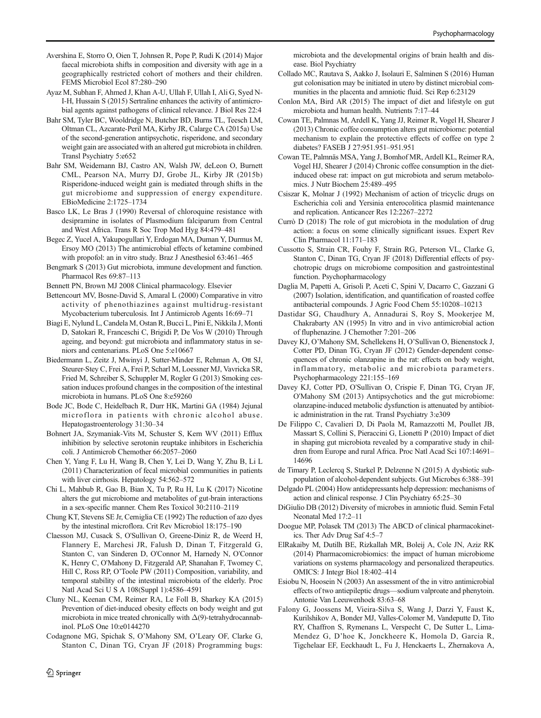- <span id="page-18-0"></span>Avershina E, Storro O, Oien T, Johnsen R, Pope P, Rudi K (2014) Major faecal microbiota shifts in composition and diversity with age in a geographically restricted cohort of mothers and their children. FEMS Microbiol Ecol 87:280–290
- Ayaz M, Subhan F, Ahmed J, Khan A-U, Ullah F, Ullah I, Ali G, Syed N-I-H, Hussain S (2015) Sertraline enhances the activity of antimicrobial agents against pathogens of clinical relevance. J Biol Res 22:4
- Bahr SM, Tyler BC, Wooldridge N, Butcher BD, Burns TL, Teesch LM, Oltman CL, Azcarate-Peril MA, Kirby JR, Calarge CA (2015a) Use of the second-generation antipsychotic, risperidone, and secondary weight gain are associated with an altered gut microbiota in children. Transl Psychiatry 5:e652
- Bahr SM, Weidemann BJ, Castro AN, Walsh JW, deLeon O, Burnett CML, Pearson NA, Murry DJ, Grobe JL, Kirby JR (2015b) Risperidone-induced weight gain is mediated through shifts in the gut microbiome and suppression of energy expenditure. EBioMedicine 2:1725–1734
- Basco LK, Le Bras J (1990) Reversal of chloroquine resistance with desipramine in isolates of Plasmodium falciparum from Central and West Africa. Trans R Soc Trop Med Hyg 84:479–481
- Begec Z, Yucel A, Yakupogullari Y, Erdogan MA, Duman Y, Durmus M, Ersoy MO (2013) The antimicrobial effects of ketamine combined with propofol: an in vitro study. Braz J Anesthesiol 63:461–465
- Bengmark S (2013) Gut microbiota, immune development and function. Pharmacol Res 69:87–113

Bennett PN, Brown MJ 2008 Clinical pharmacology. Elsevier

- Bettencourt MV, Bosne-David S, Amaral L (2000) Comparative in vitro activity of phenothiazines against multidrug-resistant Mycobacterium tuberculosis. Int J Antimicrob Agents 16:69–71
- Biagi E, Nylund L, Candela M, Ostan R, Bucci L, Pini E, Nikkila J, Monti D, Satokari R, Franceschi C, Brigidi P, De Vos W (2010) Through ageing, and beyond: gut microbiota and inflammatory status in seniors and centenarians. PLoS One 5:e10667
- Biedermann L, Zeitz J, Mwinyi J, Sutter-Minder E, Rehman A, Ott SJ, Steurer-Stey C, Frei A, Frei P, Scharl M, Loessner MJ, Vavricka SR, Fried M, Schreiber S, Schuppler M, Rogler G (2013) Smoking cessation induces profound changes in the composition of the intestinal microbiota in humans. PLoS One 8:e59260
- Bode JC, Bode C, Heidelbach R, Durr HK, Martini GA (1984) Jejunal microflora in patients with chronic alcohol abuse. Hepatogastroenterology 31:30–34
- Bohnert JA, Szymaniak-Vits M, Schuster S, Kern WV (2011) Efflux inhibition by selective serotonin reuptake inhibitors in Escherichia coli. J Antimicrob Chemother 66:2057–2060
- Chen Y, Yang F, Lu H, Wang B, Chen Y, Lei D, Wang Y, Zhu B, Li L (2011) Characterization of fecal microbial communities in patients with liver cirrhosis. Hepatology 54:562–572
- Chi L, Mahbub R, Gao B, Bian X, Tu P, Ru H, Lu K (2017) Nicotine alters the gut microbiome and metabolites of gut-brain interactions in a sex-specific manner. Chem Res Toxicol 30:2110–2119
- Chung KT, Stevens SE Jr, Cerniglia CE (1992) The reduction of azo dyes by the intestinal microflora. Crit Rev Microbiol 18:175–190
- Claesson MJ, Cusack S, O'Sullivan O, Greene-Diniz R, de Weerd H, Flannery E, Marchesi JR, Falush D, Dinan T, Fitzgerald G, Stanton C, van Sinderen D, O'Connor M, Harnedy N, O'Connor K, Henry C, O'Mahony D, Fitzgerald AP, Shanahan F, Twomey C, Hill C, Ross RP, O'Toole PW (2011) Composition, variability, and temporal stability of the intestinal microbiota of the elderly. Proc Natl Acad Sci U S A 108(Suppl 1):4586–4591
- Cluny NL, Keenan CM, Reimer RA, Le Foll B, Sharkey KA (2015) Prevention of diet-induced obesity effects on body weight and gut microbiota in mice treated chronically with  $\Delta(9)$ -tetrahydrocannabinol. PLoS One 10:e0144270
- Codagnone MG, Spichak S, O'Mahony SM, O'Leary OF, Clarke G, Stanton C, Dinan TG, Cryan JF (2018) Programming bugs:

 $\hat{Z}$  Springer

microbiota and the developmental origins of brain health and disease. Biol Psychiatry

- Collado MC, Rautava S, Aakko J, Isolauri E, Salminen S (2016) Human gut colonisation may be initiated in utero by distinct microbial communities in the placenta and amniotic fluid. Sci Rep 6:23129
- Conlon MA, Bird AR (2015) The impact of diet and lifestyle on gut microbiota and human health. Nutrients 7:17–44
- Cowan TE, Palmnas M, Ardell K, Yang JJ, Reimer R, Vogel H, Shearer J (2013) Chronic coffee consumption alters gut microbiome: potential mechanism to explain the protective effects of coffee on type 2 diabetes? FASEB J 27:951.951–951.951
- Cowan TE, Palmnäs MSA, Yang J, Bomhof MR, Ardell KL, Reimer RA, Vogel HJ, Shearer J (2014) Chronic coffee consumption in the dietinduced obese rat: impact on gut microbiota and serum metabolomics. J Nutr Biochem 25:489–495
- Csiszar K, Molnar J (1992) Mechanism of action of tricyclic drugs on Escherichia coli and Yersinia enterocolitica plasmid maintenance and replication. Anticancer Res 12:2267–2272
- Currò D (2018) The role of gut microbiota in the modulation of drug action: a focus on some clinically significant issues. Expert Rev Clin Pharmacol 11:171–183
- Cussotto S, Strain CR, Fouhy F, Strain RG, Peterson VL, Clarke G, Stanton C, Dinan TG, Cryan JF (2018) Differential effects of psychotropic drugs on microbiome composition and gastrointestinal function. Psychopharmacology
- Daglia M, Papetti A, Grisoli P, Aceti C, Spini V, Dacarro C, Gazzani G (2007) Isolation, identification, and quantification of roasted coffee antibacterial compounds. J Agric Food Chem 55:10208–10213
- Dastidar SG, Chaudhury A, Annadurai S, Roy S, Mookerjee M, Chakrabarty AN (1995) In vitro and in vivo antimicrobial action of fluphenazine. J Chemother 7:201–206
- Davey KJ, O'Mahony SM, Schellekens H, O'Sullivan O, Bienenstock J, Cotter PD, Dinan TG, Cryan JF (2012) Gender-dependent consequences of chronic olanzapine in the rat: effects on body weight, inflammatory, metabolic and microbiota parameters. Psychopharmacology 221:155–169
- Davey KJ, Cotter PD, O'Sullivan O, Crispie F, Dinan TG, Cryan JF, O'Mahony SM (2013) Antipsychotics and the gut microbiome: olanzapine-induced metabolic dysfunction is attenuated by antibiotic administration in the rat. Transl Psychiatry 3:e309
- De Filippo C, Cavalieri D, Di Paola M, Ramazzotti M, Poullet JB, Massart S, Collini S, Pieraccini G, Lionetti P (2010) Impact of diet in shaping gut microbiota revealed by a comparative study in children from Europe and rural Africa. Proc Natl Acad Sci 107:14691– 14696
- de Timary P, Leclercq S, Starkel P, Delzenne N (2015) A dysbiotic subpopulation of alcohol-dependent subjects. Gut Microbes 6:388–391
- Delgado PL (2004) How antidepressants help depression: mechanisms of action and clinical response. J Clin Psychiatry 65:25–30
- DiGiulio DB (2012) Diversity of microbes in amniotic fluid. Semin Fetal Neonatal Med 17:2–11
- Doogue MP, Polasek TM (2013) The ABCD of clinical pharmacokinetics. Ther Adv Drug Saf 4:5–7
- ElRakaiby M, Dutilh BE, Rizkallah MR, Boleij A, Cole JN, Aziz RK (2014) Pharmacomicrobiomics: the impact of human microbiome variations on systems pharmacology and personalized therapeutics. OMICS: J Integr Biol 18:402–414
- Esiobu N, Hoosein N (2003) An assessment of the in vitro antimicrobial effects of two antiepileptic drugs—sodium valproate and phenytoin. Antonie Van Leeuwenhoek 83:63–68
- Falony G, Joossens M, Vieira-Silva S, Wang J, Darzi Y, Faust K, Kurilshikov A, Bonder MJ, Valles-Colomer M, Vandeputte D, Tito RY, Chaffron S, Rymenans L, Verspecht C, De Sutter L, Lima-Mendez G, D'hoe K, Jonckheere K, Homola D, Garcia R, Tigchelaar EF, Eeckhaudt L, Fu J, Henckaerts L, Zhernakova A,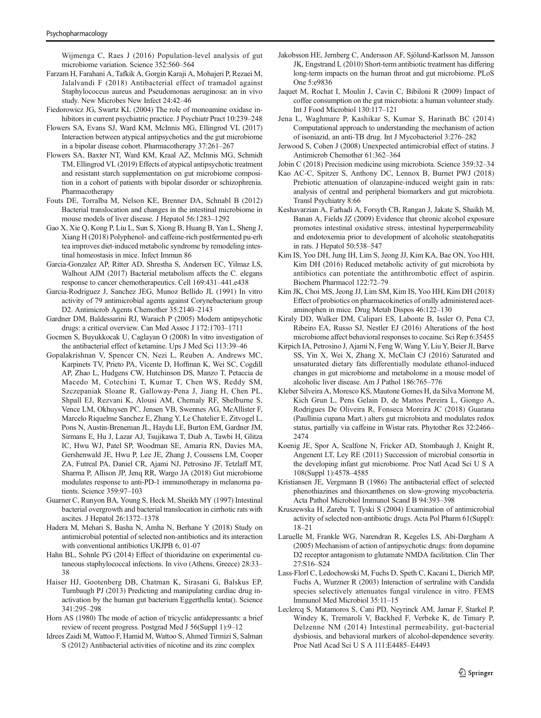<span id="page-19-0"></span>Wijmenga C, Raes J (2016) Population-level analysis of gut microbiome variation. Science 352:560–564

- Farzam H, Farahani A, Tafkik A, Gorgin Karaji A, Mohajeri P, Rezaei M, Jalalvandi F (2018) Antibacterial effect of tramadol against Staphylococcus aureus and Pseudomonas aeruginosa: an in vivo study. New Microbes New Infect 24:42–46
- Fiedorowicz JG, Swartz KL (2004) The role of monoamine oxidase inhibitors in current psychiatric practice. J Psychiatr Pract 10:239–248
- Flowers SA, Evans SJ, Ward KM, McInnis MG, Ellingrod VL (2017) Interaction between atypical antipsychotics and the gut microbiome in a bipolar disease cohort. Pharmacotherapy 37:261–267
- Flowers SA, Baxter NT, Ward KM, Kraal AZ, McInnis MG, Schmidt TM, Ellingrod VL (2019) Effects of atypical antipsychotic treatment and resistant starch supplementation on gut microbiome composition in a cohort of patients with bipolar disorder or schizophrenia. Pharmacotherapy
- Fouts DE, Torralba M, Nelson KE, Brenner DA, Schnabl B (2012) Bacterial translocation and changes in the intestinal microbiome in mouse models of liver disease. J Hepatol 56:1283–1292
- Gao X, Xie Q, Kong P, Liu L, Sun S, Xiong B, Huang B, Yan L, Sheng J, Xiang H (2018) Polyphenol- and caffeine-rich postfermented pu-erh tea improves diet-induced metabolic syndrome by remodeling intestinal homeostasis in mice. Infect Immun 86
- Garcia-Gonzalez AP, Ritter AD, Shrestha S, Andersen EC, Yilmaz LS, Walhout AJM (2017) Bacterial metabolism affects the C. elegans response to cancer chemotherapeutics. Cell 169:431–441.e438
- Garcia-Rodriguez J, Sanchez JEG, Munoz Bellido JL (1991) In vitro activity of 79 antimicrobial agents against Corynebacterium group D2. Antimicrob Agents Chemother 35:2140–2143
- Gardner DM, Baldessarini RJ, Waraich P (2005) Modern antipsychotic drugs: a critical overview. Can Med Assoc J 172:1703–1711
- Gocmen S, Buyukkocak U, Caglayan O (2008) In vitro investigation of the antibacterial effect of ketamine. Ups J Med Sci 113:39–46
- Gopalakrishnan V, Spencer CN, Nezi L, Reuben A, Andrews MC, Karpinets TV, Prieto PA, Vicente D, Hoffman K, Wei SC, Cogdill AP, Zhao L, Hudgens CW, Hutchinson DS, Manzo T, Petaccia de Macedo M, Cotechini T, Kumar T, Chen WS, Reddy SM, Szczepaniak Sloane R, Galloway-Pena J, Jiang H, Chen PL, Shpall EJ, Rezvani K, Alousi AM, Chemaly RF, Shelburne S, Vence LM, Okhuysen PC, Jensen VB, Swennes AG, McAllister F, Marcelo Riquelme Sanchez E, Zhang Y, Le Chatelier E, Zitvogel L, Pons N, Austin-Breneman JL, Haydu LE, Burton EM, Gardner JM, Sirmans E, Hu J, Lazar AJ, Tsujikawa T, Diab A, Tawbi H, Glitza IC, Hwu WJ, Patel SP, Woodman SE, Amaria RN, Davies MA, Gershenwald JE, Hwu P, Lee JE, Zhang J, Coussens LM, Cooper ZA, Futreal PA, Daniel CR, Ajami NJ, Petrosino JF, Tetzlaff MT, Sharma P, Allison JP, Jenq RR, Wargo JA (2018) Gut microbiome modulates response to anti-PD-1 immunotherapy in melanoma patients. Science 359:97–103
- Guarner C, Runyon BA, Young S, Heck M, Sheikh MY (1997) Intestinal bacterial overgrowth and bacterial translocation in cirrhotic rats with ascites. J Hepatol 26:1372–1378
- Hadera M, Mehari S, Basha N, Amha N, Berhane Y (2018) Study on antimicrobial potential of selected non-antibiotics and its interaction with conventional antibiotics UKJPB 6, 01-07
- Hahn BL, Sohnle PG (2014) Effect of thioridazine on experimental cutaneous staphylococcal infections. In vivo (Athens, Greece) 28:33– 38
- Haiser HJ, Gootenberg DB, Chatman K, Sirasani G, Balskus EP, Turnbaugh PJ (2013) Predicting and manipulating cardiac drug inactivation by the human gut bacterium Eggerthella lenta(). Science 341:295–298
- Horn AS (1980) The mode of action of tricyclic antidepressants: a brief review of recent progress. Postgrad Med J 56(Suppl 1):9–12
- Idrees Zaidi M, Wattoo F, Hamid M, Wattoo S, Ahmed Tirmizi S, Salman S (2012) Antibacterial activities of nicotine and its zinc complex
- Jakobsson HE, Jernberg C, Andersson AF, Sjölund-Karlsson M, Jansson JK, Engstrand L (2010) Short-term antibiotic treatment has differing long-term impacts on the human throat and gut microbiome. PLoS One 5:e9836
- Jaquet M, Rochat I, Moulin J, Cavin C, Bibiloni R (2009) Impact of coffee consumption on the gut microbiota: a human volunteer study. Int J Food Microbiol 130:117–121
- Jena L, Waghmare P, Kashikar S, Kumar S, Harinath BC (2014) Computational approach to understanding the mechanism of action of isoniazid, an anti-TB drug. Int J Mycobacteriol 3:276–282
- Jerwood S, Cohen J (2008) Unexpected antimicrobial effect of statins. J Antimicrob Chemother 61:362–364
- Jobin C (2018) Precision medicine using microbiota. Science 359:32–34
- Kao AC-C, Spitzer S, Anthony DC, Lennox B, Burnet PWJ (2018) Prebiotic attenuation of olanzapine-induced weight gain in rats: analysis of central and peripheral biomarkers and gut microbiota. Transl Psychiatry 8:66
- Keshavarzian A, Farhadi A, Forsyth CB, Rangan J, Jakate S, Shaikh M, Banan A, Fields JZ (2009) Evidence that chronic alcohol exposure promotes intestinal oxidative stress, intestinal hyperpermeability and endotoxemia prior to development of alcoholic steatohepatitis in rats. J Hepatol 50:538–547
- Kim IS, Yoo DH, Jung IH, Lim S, Jeong JJ, Kim KA, Bae ON, Yoo HH, Kim DH (2016) Reduced metabolic activity of gut microbiota by antibiotics can potentiate the antithrombotic effect of aspirin. Biochem Pharmacol 122:72–79
- Kim JK, Choi MS, Jeong JJ, Lim SM, Kim IS, Yoo HH, Kim DH (2018) Effect of probiotics on pharmacokinetics of orally administered acetaminophen in mice. Drug Metab Dispos 46:122–130
- Kiraly DD, Walker DM, Calipari ES, Labonte B, Issler O, Pena CJ, Ribeiro EA, Russo SJ, Nestler EJ (2016) Alterations of the host microbiome affect behavioral responses to cocaine. Sci Rep 6:35455
- Kirpich IA, Petrosino J, Ajami N, Feng W, Wang Y, Liu Y, Beier JI, Barve SS, Yin X, Wei X, Zhang X, McClain CJ (2016) Saturated and unsaturated dietary fats differentially modulate ethanol-induced changes in gut microbiome and metabolome in a mouse model of alcoholic liver disease. Am J Pathol 186:765–776
- Kleber Silveira A, Moresco KS, Mautone Gomes H, da Silva Morrone M, Kich Grun L, Pens Gelain D, de Mattos Pereira L, Giongo A, Rodrigues De Oliveira R, Fonseca Moreira JC (2018) Guarana (Paullinia cupana Mart.) alters gut microbiota and modulates redox status, partially via caffeine in Wistar rats. Phytother Res 32:2466– 2474
- Koenig JE, Spor A, Scalfone N, Fricker AD, Stombaugh J, Knight R, Angenent LT, Ley RE (2011) Succession of microbial consortia in the developing infant gut microbiome. Proc Natl Acad Sci U S A 108(Suppl 1):4578–4585
- Kristiansen JE, Vergmann B (1986) The antibacterial effect of selected phenothiazines and thioxanthenes on slow-growing mycobacteria. Acta Pathol Microbiol Immunol Scand B 94:393–398
- Kruszewska H, Zareba T, Tyski S (2004) Examination of antimicrobial activity of selected non-antibiotic drugs. Acta Pol Pharm 61(Suppl): 18–21
- Laruelle M, Frankle WG, Narendran R, Kegeles LS, Abi-Dargham A (2005) Mechanism of action of antipsychotic drugs: from dopamine D2 receptor antagonism to glutamate NMDA facilitation. Clin Ther 27:S16–S24
- Lass-Florl C, Ledochowski M, Fuchs D, Speth C, Kacani L, Dierich MP, Fuchs A, Wurzner R (2003) Interaction of sertraline with Candida species selectively attenuates fungal virulence in vitro. FEMS Immunol Med Microbiol 35:11–15
- Leclercq S, Matamoros S, Cani PD, Neyrinck AM, Jamar F, Starkel P, Windey K, Tremaroli V, Backhed F, Verbeke K, de Timary P, Delzenne NM (2014) Intestinal permeability, gut-bacterial dysbiosis, and behavioral markers of alcohol-dependence severity. Proc Natl Acad Sci U S A 111:E4485–E4493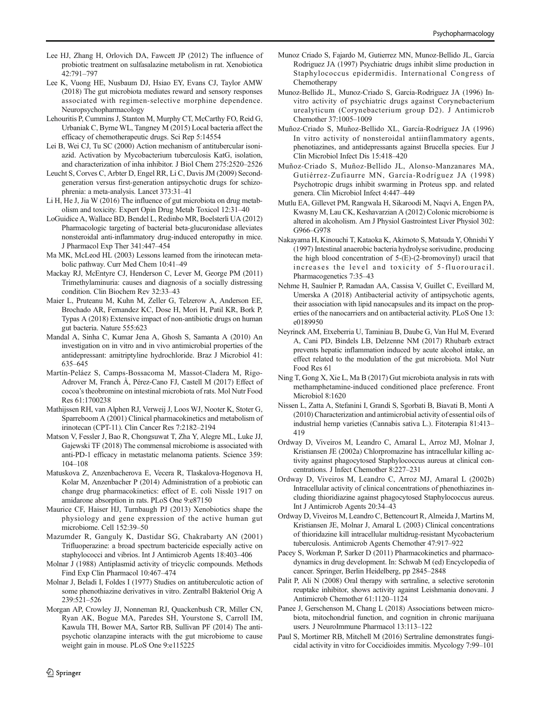- <span id="page-20-0"></span>Lee HJ, Zhang H, Orlovich DA, Fawcett JP (2012) The influence of probiotic treatment on sulfasalazine metabolism in rat. Xenobiotica 42:791–797
- Lee K, Vuong HE, Nusbaum DJ, Hsiao EY, Evans CJ, Taylor AMW (2018) The gut microbiota mediates reward and sensory responses associated with regimen-selective morphine dependence. Neuropsychopharmacology
- Lehouritis P, Cummins J, Stanton M, Murphy CT, McCarthy FO, Reid G, Urbaniak C, Byrne WL, Tangney M (2015) Local bacteria affect the efficacy of chemotherapeutic drugs. Sci Rep 5:14554
- Lei B, Wei CJ, Tu SC (2000) Action mechanism of antitubercular isoniazid. Activation by Mycobacterium tuberculosis KatG, isolation, and characterization of inha inhibitor. J Biol Chem 275:2520–2526
- Leucht S, Corves C, Arbter D, Engel RR, Li C, Davis JM (2009) Secondgeneration versus first-generation antipsychotic drugs for schizophrenia: a meta-analysis. Lancet 373:31–41
- Li H, He J, Jia W (2016) The influence of gut microbiota on drug metabolism and toxicity. Expert Opin Drug Metab Toxicol 12:31–40
- LoGuidice A, Wallace BD, Bendel L, Redinbo MR, Boelsterli UA (2012) Pharmacologic targeting of bacterial beta-glucuronidase alleviates nonsteroidal anti-inflammatory drug-induced enteropathy in mice. J Pharmacol Exp Ther 341:447–454
- Ma MK, McLeod HL (2003) Lessons learned from the irinotecan metabolic pathway. Curr Med Chem 10:41–49
- Mackay RJ, McEntyre CJ, Henderson C, Lever M, George PM (2011) Trimethylaminuria: causes and diagnosis of a socially distressing condition. Clin Biochem Rev 32:33–43
- Maier L, Pruteanu M, Kuhn M, Zeller G, Telzerow A, Anderson EE, Brochado AR, Fernandez KC, Dose H, Mori H, Patil KR, Bork P, Typas A (2018) Extensive impact of non-antibiotic drugs on human gut bacteria. Nature 555:623
- Mandal A, Sinha C, Kumar Jena A, Ghosh S, Samanta A (2010) An investigation on in vitro and in vivo antimicrobial properties of the antidepressant: amitriptyline hydrochloride. Braz J Microbiol 41: 635–645
- Martín-Peláez S, Camps-Bossacoma M, Massot-Cladera M, Rigo-Adrover M, Franch À, Pérez-Cano FJ, Castell M (2017) Effect of cocoa's theobromine on intestinal microbiota of rats. Mol Nutr Food Res 61:1700238
- Mathijssen RH, van Alphen RJ, Verweij J, Loos WJ, Nooter K, Stoter G, Sparreboom A (2001) Clinical pharmacokinetics and metabolism of irinotecan (CPT-11). Clin Cancer Res 7:2182–2194
- Matson V, Fessler J, Bao R, Chongsuwat T, Zha Y, Alegre ML, Luke JJ, Gajewski TF (2018) The commensal microbiome is associated with anti-PD-1 efficacy in metastatic melanoma patients. Science 359: 104–108
- Matuskova Z, Anzenbacherova E, Vecera R, Tlaskalova-Hogenova H, Kolar M, Anzenbacher P (2014) Administration of a probiotic can change drug pharmacokinetics: effect of E. coli Nissle 1917 on amidarone absorption in rats. PLoS One 9:e87150
- Maurice CF, Haiser HJ, Turnbaugh PJ (2013) Xenobiotics shape the physiology and gene expression of the active human gut microbiome. Cell 152:39–50
- Mazumder R, Ganguly K, Dastidar SG, Chakrabarty AN (2001) Trifluoperazine: a broad spectrum bactericide especially active on staphylococci and vibrios. Int J Antimicrob Agents 18:403–406
- Molnar J (1988) Antiplasmid activity of tricyclic compounds. Methods Find Exp Clin Pharmacol 10:467–474
- Molnar J, Beladi I, Foldes I (1977) Studies on antituberculotic action of some phenothiazine derivatives in vitro. Zentralbl Bakteriol Orig A 239:521–526
- Morgan AP, Crowley JJ, Nonneman RJ, Quackenbush CR, Miller CN, Ryan AK, Bogue MA, Paredes SH, Yourstone S, Carroll IM, Kawula TH, Bower MA, Sartor RB, Sullivan PF (2014) The antipsychotic olanzapine interacts with the gut microbiome to cause weight gain in mouse. PLoS One 9:e115225
- Munoz Criado S, Fajardo M, Gutierrez MN, Munoz-Bellido JL, Garcia Rodriguez JA (1997) Psychiatric drugs inhibit slime production in Staphylococcus epidermidis. International Congress of Chemotherapy
- Munoz-Bellido JL, Munoz-Criado S, Garcia-Rodriguez JA (1996) Invitro activity of psychiatric drugs against Corynebacterium urealyticum (Corynebacterium group D2). J Antimicrob Chemother 37:1005–1009
- Muñoz-Criado S, Muñoz-Bellido XL, García-Rodríguez JA (1996) In vitro activity of nonsteroidal antiinflammatory agents, phenotiazines, and antidepressants against Brucella species. Eur J Clin Microbiol Infect Dis 15:418–420
- Muñoz-Criado S, Muñoz-Bellido JL, Alonso-Manzanares MA, Gutiérrez-Zufiaurre MN, García-Rodríguez JA (1998) Psychotropic drugs inhibit swarming in Proteus spp. and related genera. Clin Microbiol Infect 4:447–449
- Mutlu EA, Gillevet PM, Rangwala H, Sikaroodi M, Naqvi A, Engen PA, Kwasny M, Lau CK, Keshavarzian A (2012) Colonic microbiome is altered in alcoholism. Am J Physiol Gastrointest Liver Physiol 302: G966–G978
- Nakayama H, Kinouchi T, Kataoka K, Akimoto S, Matsuda Y, Ohnishi Y (1997) Intestinal anaerobic bacteria hydrolyse sorivudine, producing the high blood concentration of 5-(E)-(2-bromovinyl) uracil that increases the level and toxicity of 5-fluorouracil. Pharmacogenetics 7:35–43
- Nehme H, Saulnier P, Ramadan AA, Cassisa V, Guillet C, Eveillard M, Umerska A (2018) Antibacterial activity of antipsychotic agents, their association with lipid nanocapsules and its impact on the properties of the nanocarriers and on antibacterial activity. PLoS One 13: e0189950
- Neyrinck AM, Etxeberria U, Taminiau B, Daube G, Van Hul M, Everard A, Cani PD, Bindels LB, Delzenne NM (2017) Rhubarb extract prevents hepatic inflammation induced by acute alcohol intake, an effect related to the modulation of the gut microbiota. Mol Nutr Food Res 61
- Ning T, Gong X, Xie L, Ma B (2017) Gut microbiota analysis in rats with methamphetamine-induced conditioned place preference. Front Microbiol 8:1620
- Nissen L, Zatta A, Stefanini I, Grandi S, Sgorbati B, Biavati B, Monti A (2010) Characterization and antimicrobial activity of essential oils of industrial hemp varieties (Cannabis sativa L.). Fitoterapia 81:413– 419
- Ordway D, Viveiros M, Leandro C, Amaral L, Arroz MJ, Molnar J, Kristiansen JE (2002a) Chlorpromazine has intracellular killing activity against phagocytosed Staphylococcus aureus at clinical concentrations. J Infect Chemother 8:227–231
- Ordway D, Viveiros M, Leandro C, Arroz MJ, Amaral L (2002b) Intracellular activity of clinical concentrations of phenothiazines including thioridiazine against phagocytosed Staphylococcus aureus. Int J Antimicrob Agents 20:34–43
- Ordway D, Viveiros M, Leandro C, Bettencourt R, Almeida J, Martins M, Kristiansen JE, Molnar J, Amaral L (2003) Clinical concentrations of thioridazine kill intracellular multidrug-resistant Mycobacterium tuberculosis. Antimicrob Agents Chemother 47:917–922
- Pacey S, Workman P, Sarker D (2011) Pharmacokinetics and pharmacodynamics in drug development. In: Schwab M (ed) Encyclopedia of cancer. Springer, Berlin Heidelberg, pp 2845–2848
- Palit P, Ali N (2008) Oral therapy with sertraline, a selective serotonin reuptake inhibitor, shows activity against Leishmania donovani. J Antimicrob Chemother 61:1120–1124
- Panee J, Gerschenson M, Chang L (2018) Associations between microbiota, mitochondrial function, and cognition in chronic marijuana users. J NeuroImmune Pharmacol 13:113–122
- Paul S, Mortimer RB, Mitchell M (2016) Sertraline demonstrates fungicidal activity in vitro for Coccidioides immitis. Mycology 7:99–101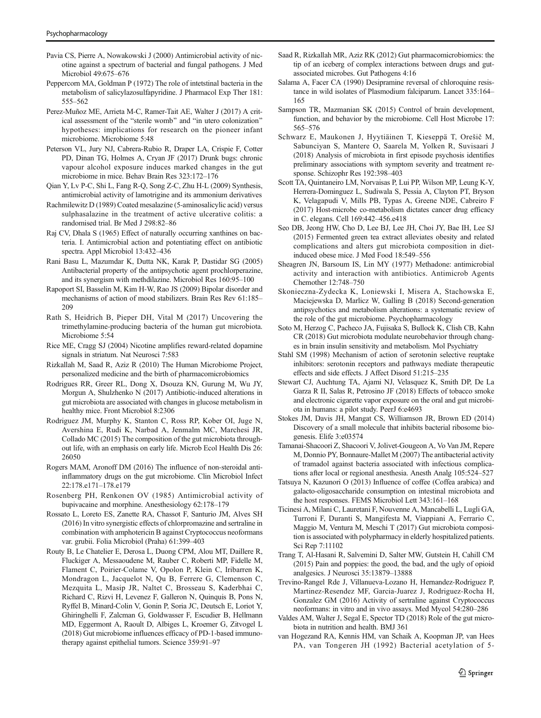- <span id="page-21-0"></span>Pavia CS, Pierre A, Nowakowski J (2000) Antimicrobial activity of nicotine against a spectrum of bacterial and fungal pathogens. J Med Microbiol 49:675–676
- Peppercorn MA, Goldman P (1972) The role of intetstinal bacteria in the metabolism of salicylazosulfapyridine. J Pharmacol Exp Ther 181: 555–562
- Perez-Muñoz ME, Arrieta M-C, Ramer-Tait AE, Walter J (2017) A critical assessment of the "sterile womb" and "in utero colonization" hypotheses: implications for research on the pioneer infant microbiome. Microbiome 5:48
- Peterson VL, Jury NJ, Cabrera-Rubio R, Draper LA, Crispie F, Cotter PD, Dinan TG, Holmes A, Cryan JF (2017) Drunk bugs: chronic vapour alcohol exposure induces marked changes in the gut microbiome in mice. Behav Brain Res 323:172–176
- Qian Y, Lv P-C, Shi L, Fang R-Q, Song Z-C, Zhu H-L (2009) Synthesis, antimicrobial activity of lamotrigine and its ammonium derivatives
- Rachmilewitz D (1989) Coated mesalazine (5-aminosalicylic acid) versus sulphasalazine in the treatment of active ulcerative colitis: a randomised trial. Br Med J 298:82–86
- Raj CV, Dhala S (1965) Effect of naturally occurring xanthines on bacteria. I. Antimicrobial action and potentiating effect on antibiotic spectra. Appl Microbiol 13:432–436
- Rani Basu L, Mazumdar K, Dutta NK, Karak P, Dastidar SG (2005) Antibacterial property of the antipsychotic agent prochlorperazine, and its synergism with methdilazine. Microbiol Res 160:95–100
- Rapoport SI, Basselin M, Kim H-W, Rao JS (2009) Bipolar disorder and mechanisms of action of mood stabilizers. Brain Res Rev 61:185– 209
- Rath S, Heidrich B, Pieper DH, Vital M (2017) Uncovering the trimethylamine-producing bacteria of the human gut microbiota. Microbiome 5:54
- Rice ME, Cragg SJ (2004) Nicotine amplifies reward-related dopamine signals in striatum. Nat Neurosci 7:583
- Rizkallah M, Saad R, Aziz R (2010) The Human Microbiome Project, personalized medicine and the birth of pharmacomicrobiomics
- Rodrigues RR, Greer RL, Dong X, Dsouza KN, Gurung M, Wu JY, Morgun A, Shulzhenko N (2017) Antibiotic-induced alterations in gut microbiota are associated with changes in glucose metabolism in healthy mice. Front Microbiol 8:2306
- Rodriguez JM, Murphy K, Stanton C, Ross RP, Kober OI, Juge N, Avershina E, Rudi K, Narbad A, Jenmalm MC, Marchesi JR, Collado MC (2015) The composition of the gut microbiota throughout life, with an emphasis on early life. Microb Ecol Health Dis 26: 26050
- Rogers MAM, Aronoff DM (2016) The influence of non-steroidal antiinflammatory drugs on the gut microbiome. Clin Microbiol Infect 22:178.e171–178.e179
- Rosenberg PH, Renkonen OV (1985) Antimicrobial activity of bupivacaine and morphine. Anesthesiology 62:178–179
- Rossato L, Loreto ES, Zanette RA, Chassot F, Santurio JM, Alves SH (2016) In vitro synergistic effects of chlorpromazine and sertraline in combination with amphotericin B against Cryptococcus neoformans var. grubii. Folia Microbiol (Praha) 61:399–403
- Routy B, Le Chatelier E, Derosa L, Duong CPM, Alou MT, Daillere R, Fluckiger A, Messaoudene M, Rauber C, Roberti MP, Fidelle M, Flament C, Poirier-Colame V, Opolon P, Klein C, Iribarren K, Mondragon L, Jacquelot N, Qu B, Ferrere G, Clemenson C, Mezquita L, Masip JR, Naltet C, Brosseau S, Kaderbhai C, Richard C, Rizvi H, Levenez F, Galleron N, Quinquis B, Pons N, Ryffel B, Minard-Colin V, Gonin P, Soria JC, Deutsch E, Loriot Y, Ghiringhelli F, Zalcman G, Goldwasser F, Escudier B, Hellmann MD, Eggermont A, Raoult D, Albiges L, Kroemer G, Zitvogel L (2018) Gut microbiome influences efficacy of PD-1-based immunotherapy against epithelial tumors. Science 359:91–97
- Saad R, Rizkallah MR, Aziz RK (2012) Gut pharmacomicrobiomics: the tip of an iceberg of complex interactions between drugs and gutassociated microbes. Gut Pathogens 4:16
- Salama A, Facer CA (1990) Desipramine reversal of chloroquine resistance in wild isolates of Plasmodium falciparum. Lancet 335:164– 165
- Sampson TR, Mazmanian SK (2015) Control of brain development, function, and behavior by the microbiome. Cell Host Microbe 17: 565–576
- Schwarz E, Maukonen J, Hyytiäinen T, Kieseppä T, Orešič M, Sabunciyan S, Mantere O, Saarela M, Yolken R, Suvisaari J (2018) Analysis of microbiota in first episode psychosis identifies preliminary associations with symptom severity and treatment response. Schizophr Res 192:398–403
- Scott TA, Quintaneiro LM, Norvaisas P, Lui PP, Wilson MP, Leung K-Y, Herrera-Dominguez L, Sudiwala S, Pessia A, Clayton PT, Bryson K, Velagapudi V, Mills PB, Typas A, Greene NDE, Cabreiro F (2017) Host-microbe co-metabolism dictates cancer drug efficacy in C. elegans. Cell 169:442–456.e418
- Seo DB, Jeong HW, Cho D, Lee BJ, Lee JH, Choi JY, Bae IH, Lee SJ (2015) Fermented green tea extract alleviates obesity and related complications and alters gut microbiota composition in dietinduced obese mice. J Med Food 18:549–556
- Sheagren JN, Barsoum IS, Lin MY (1977) Methadone: antimicrobial activity and interaction with antibiotics. Antimicrob Agents Chemother 12:748–750
- Skonieczna-Zydecka K, Loniewski I, Misera A, Stachowska E, Maciejewska D, Marlicz W, Galling B (2018) Second-generation antipsychotics and metabolism alterations: a systematic review of the role of the gut microbiome. Psychopharmacology
- Soto M, Herzog C, Pacheco JA, Fujisaka S, Bullock K, Clish CB, Kahn CR (2018) Gut microbiota modulate neurobehavior through changes in brain insulin sensitivity and metabolism. Mol Psychiatry
- Stahl SM (1998) Mechanism of action of serotonin selective reuptake inhibitors: serotonin receptors and pathways mediate therapeutic effects and side effects. J Affect Disord 51:215–235
- Stewart CJ, Auchtung TA, Ajami NJ, Velasquez K, Smith DP, De La Garza R II, Salas R, Petrosino JF (2018) Effects of tobacco smoke and electronic cigarette vapor exposure on the oral and gut microbiota in humans: a pilot study. PeerJ 6:e4693
- Stokes JM, Davis JH, Mangat CS, Williamson JR, Brown ED (2014) Discovery of a small molecule that inhibits bacterial ribosome biogenesis. Elife 3:e03574
- Tamanai-Shacoori Z, Shacoori V, Jolivet-Gougeon A, Vo Van JM, Repere M, Donnio PY, Bonnaure-Mallet M (2007) The antibacterial activity of tramadol against bacteria associated with infectious complications after local or regional anesthesia. Anesth Analg 105:524–527
- Tatsuya N, Kazunori O (2013) Influence of coffee (Coffea arabica) and galacto-oligosaccharide consumption on intestinal microbiota and the host responses. FEMS Microbiol Lett 343:161–168
- Ticinesi A, Milani C, Lauretani F, Nouvenne A, Mancabelli L, Lugli GA, Turroni F, Duranti S, Mangifesta M, Viappiani A, Ferrario C, Maggio M, Ventura M, Meschi T (2017) Gut microbiota composition is associated with polypharmacy in elderly hospitalized patients. Sci Rep 7:11102
- Trang T, Al-Hasani R, Salvemini D, Salter MW, Gutstein H, Cahill CM (2015) Pain and poppies: the good, the bad, and the ugly of opioid analgesics. J Neurosci 35:13879–13888
- Trevino-Rangel Rde J, Villanueva-Lozano H, Hernandez-Rodriguez P, Martinez-Resendez MF, Garcia-Juarez J, Rodriguez-Rocha H, Gonzalez GM (2016) Activity of sertraline against Cryptococcus neoformans: in vitro and in vivo assays. Med Mycol 54:280–286
- Valdes AM, Walter J, Segal E, Spector TD (2018) Role of the gut microbiota in nutrition and health. BMJ 361
- van Hogezand RA, Kennis HM, van Schaik A, Koopman JP, van Hees PA, van Tongeren JH (1992) Bacterial acetylation of 5-